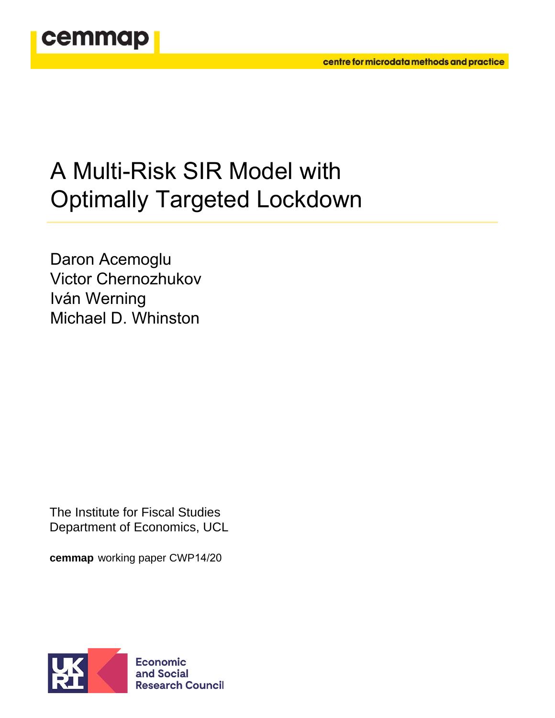

# A Multi-Risk SIR Model with Optimally Targeted Lockdown

Daron Acemoglu Victor Chernozhukov Iván Werning Michael D. Whinston

The Institute for Fiscal Studies Department of Economics, UCL

**cemmap** working paper CWP14/20

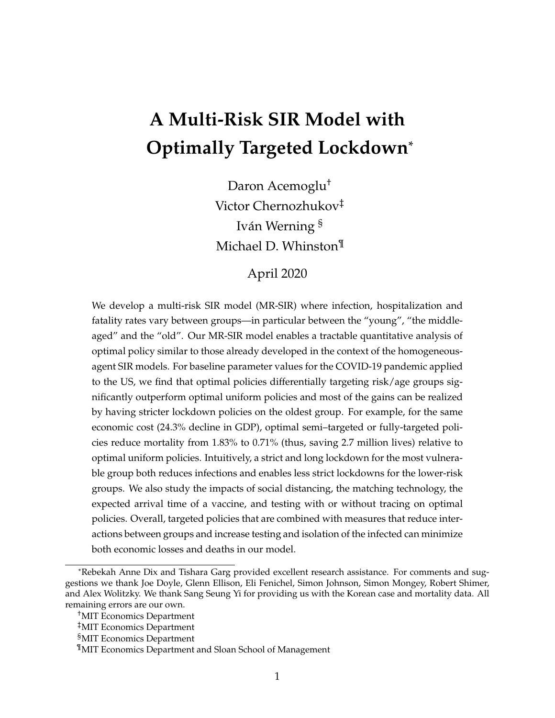## **A Multi-Risk SIR Model with Optimally Targeted Lockdown**\*

Daron Acemoglu† Victor Chernozhukov‡ Iván Werning § Michael D. Whinston¶

## April 2020

We develop a multi-risk SIR model (MR-SIR) where infection, hospitalization and fatality rates vary between groups—in particular between the "young", "the middleaged" and the "old". Our MR-SIR model enables a tractable quantitative analysis of optimal policy similar to those already developed in the context of the homogeneousagent SIR models. For baseline parameter values for the COVID-19 pandemic applied to the US, we find that optimal policies differentially targeting risk/age groups significantly outperform optimal uniform policies and most of the gains can be realized by having stricter lockdown policies on the oldest group. For example, for the same economic cost (24.3% decline in GDP), optimal semi–targeted or fully-targeted policies reduce mortality from 1.83% to 0.71% (thus, saving 2.7 million lives) relative to optimal uniform policies. Intuitively, a strict and long lockdown for the most vulnerable group both reduces infections and enables less strict lockdowns for the lower-risk groups. We also study the impacts of social distancing, the matching technology, the expected arrival time of a vaccine, and testing with or without tracing on optimal policies. Overall, targeted policies that are combined with measures that reduce interactions between groups and increase testing and isolation of the infected can minimize both economic losses and deaths in our model.

<sup>\*</sup>Rebekah Anne Dix and Tishara Garg provided excellent research assistance. For comments and suggestions we thank Joe Doyle, Glenn Ellison, Eli Fenichel, Simon Johnson, Simon Mongey, Robert Shimer, and Alex Wolitzky. We thank Sang Seung Yi for providing us with the Korean case and mortality data. All remaining errors are our own.

<sup>†</sup>MIT Economics Department

<sup>‡</sup>MIT Economics Department

<sup>§</sup>MIT Economics Department

<sup>¶</sup>MIT Economics Department and Sloan School of Management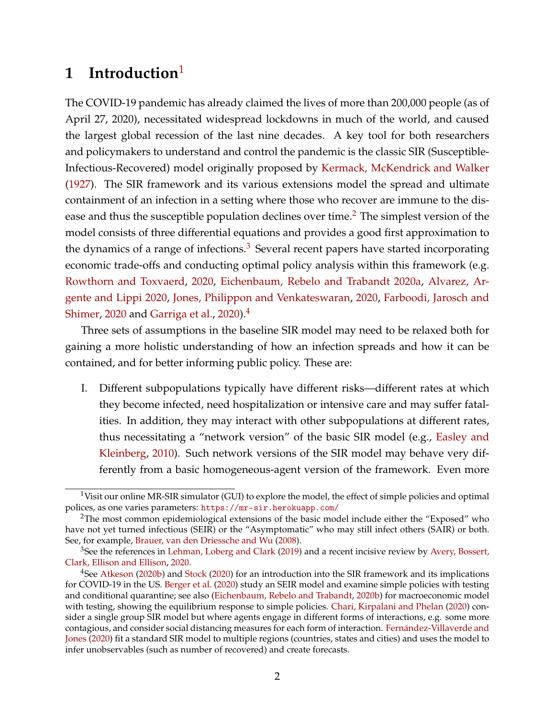## **1 Introduction**[1](#page-2-0)

The COVID-19 pandemic has already claimed the lives of more than 200,000 people (as of April 27, 2020), necessitated widespread lockdowns in much of the world, and caused the largest global recession of the last nine decades. A key tool for both researchers and policymakers to understand and control the pandemic is the classic SIR (Susceptible-Infectious-Recovered) model originally proposed by [Kermack, McKendrick and Walker](#page-38-0) [\(1927\)](#page-38-0). The SIR framework and its various extensions model the spread and ultimate containment of an infection in a setting where those who recover are immune to the dis-ease and thus the susceptible population declines over time.<sup>[2](#page-2-1)</sup> The simplest version of the model consists of three differential equations and provides a good first approximation to the dynamics of a range of infections. $3$  Several recent papers have started incorporating economic trade-offs and conducting optimal policy analysis within this framework (e.g. [Rowthorn and Toxvaerd,](#page-38-1) [2020,](#page-38-1) [Eichenbaum, Rebelo and Trabandt](#page-36-0) [2020a,](#page-36-0) [Alvarez, Ar](#page-35-0)[gente and Lippi](#page-35-0) [2020,](#page-35-0) [Jones, Philippon and Venkateswaran,](#page-37-0) [2020,](#page-37-0) [Farboodi, Jarosch and](#page-36-1) [Shimer,](#page-36-1) [2020](#page-36-1) and [Garriga et al.,](#page-37-1) [2020\)](#page-37-1).<sup>[4](#page-2-3)</sup>

Three sets of assumptions in the baseline SIR model may need to be relaxed both for gaining a more holistic understanding of how an infection spreads and how it can be contained, and for better informing public policy. These are:

I. Different subpopulations typically have different risks—different rates at which they become infected, need hospitalization or intensive care and may suffer fatalities. In addition, they may interact with other subpopulations at different rates, thus necessitating a "network version" of the basic SIR model (e.g., [Easley and](#page-36-2) [Kleinberg,](#page-36-2) [2010\)](#page-36-2). Such network versions of the SIR model may behave very differently from a basic homogeneous-agent version of the framework. Even more

<span id="page-2-0"></span><sup>&</sup>lt;sup>1</sup>Visit our online MR-SIR simulator (GUI) to explore the model, the effect of simple policies and optimal polices, as one varies parameters: <https://mr-sir.herokuapp.com/>

<span id="page-2-1"></span><sup>&</sup>lt;sup>2</sup>The most common epidemiological extensions of the basic model include either the "Exposed" who have not yet turned infectious (SEIR) or the "Asymptomatic" who may still infect others (SAIR) or both. See, for example, [Brauer, van den Driessche and Wu](#page-36-3) [\(2008\)](#page-36-3).

<span id="page-2-2"></span> $3$ See the references in [Lehman, Loberg and Clark](#page-38-2) [\(2019\)](#page-38-2) and a recent incisive review by [Avery, Bossert,](#page-36-4) [Clark, Ellison and Ellison,](#page-36-4) [2020.](#page-36-4)

<span id="page-2-3"></span><sup>&</sup>lt;sup>4</sup>See [Atkeson](#page-35-1) [\(2020b\)](#page-35-1) and [Stock](#page-38-3) [\(2020\)](#page-38-3) for an introduction into the SIR framework and its implications for COVID-19 in the US. [Berger et al.](#page-36-5) [\(2020\)](#page-36-5) study an SEIR model and examine simple policies with testing and conditional quarantine; see also [\(Eichenbaum, Rebelo and Trabandt,](#page-36-6) [2020b\)](#page-36-6) for macroeconomic model with testing, showing the equilibrium response to simple policies. [Chari, Kirpalani and Phelan](#page-36-7) [\(2020\)](#page-36-7) consider a single group SIR model but where agents engage in different forms of interactions, e.g. some more contagious, and consider social distancing measures for each form of interaction. [Fernández-Villaverde and](#page-37-2) [Jones](#page-37-2) [\(2020\)](#page-37-2) fit a standard SIR model to multiple regions (countries, states and cities) and uses the model to infer unobservables (such as number of recovered) and create forecasts.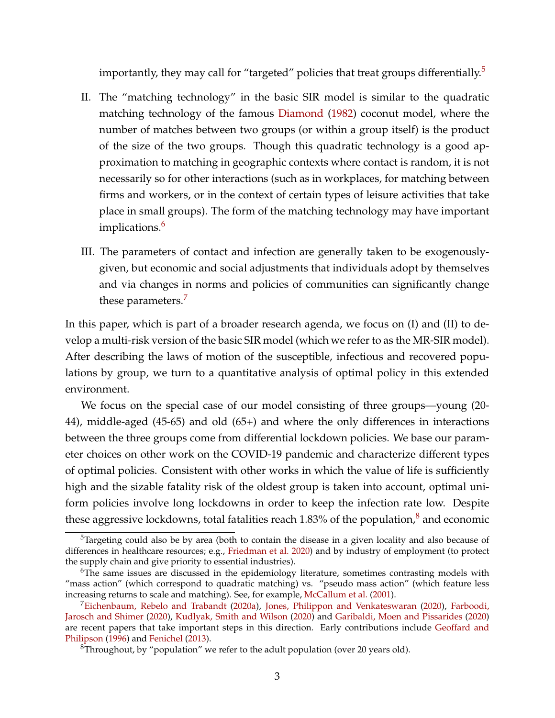importantly, they may call for "targeted" policies that treat groups differentially. $5$ 

- II. The "matching technology" in the basic SIR model is similar to the quadratic matching technology of the famous [Diamond](#page-36-8) [\(1982\)](#page-36-8) coconut model, where the number of matches between two groups (or within a group itself) is the product of the size of the two groups. Though this quadratic technology is a good approximation to matching in geographic contexts where contact is random, it is not necessarily so for other interactions (such as in workplaces, for matching between firms and workers, or in the context of certain types of leisure activities that take place in small groups). The form of the matching technology may have important implications.<sup>[6](#page-3-1)</sup>
- III. The parameters of contact and infection are generally taken to be exogenouslygiven, but economic and social adjustments that individuals adopt by themselves and via changes in norms and policies of communities can significantly change these parameters.<sup>[7](#page-3-2)</sup>

In this paper, which is part of a broader research agenda, we focus on (I) and (II) to develop a multi-risk version of the basic SIR model (which we refer to as the MR-SIR model). After describing the laws of motion of the susceptible, infectious and recovered populations by group, we turn to a quantitative analysis of optimal policy in this extended environment.

We focus on the special case of our model consisting of three groups—young (20- 44), middle-aged (45-65) and old (65+) and where the only differences in interactions between the three groups come from differential lockdown policies. We base our parameter choices on other work on the COVID-19 pandemic and characterize different types of optimal policies. Consistent with other works in which the value of life is sufficiently high and the sizable fatality risk of the oldest group is taken into account, optimal uniform policies involve long lockdowns in order to keep the infection rate low. Despite these aggressive lockdowns, total fatalities reach 1.[8](#page-3-3)3% of the population, $\delta$  and economic

<span id="page-3-0"></span> $5$ Targeting could also be by area (both to contain the disease in a given locality and also because of differences in healthcare resources; e.g., [Friedman et al.](#page-37-3) [2020\)](#page-37-3) and by industry of employment (to protect the supply chain and give priority to essential industries).

<span id="page-3-1"></span><sup>&</sup>lt;sup>6</sup>The same issues are discussed in the epidemiology literature, sometimes contrasting models with "mass action" (which correspond to quadratic matching) vs. "pseudo mass action" (which feature less increasing returns to scale and matching). See, for example, [McCallum et al.](#page-38-4) [\(2001\)](#page-38-4).

<span id="page-3-2"></span><sup>7</sup>[Eichenbaum, Rebelo and Trabandt](#page-36-0) [\(2020a\)](#page-36-0), [Jones, Philippon and Venkateswaran](#page-37-0) [\(2020\)](#page-37-0), [Farboodi,](#page-36-1) [Jarosch and Shimer](#page-36-1) [\(2020\)](#page-36-1), [Kudlyak, Smith and Wilson](#page-38-5) [\(2020\)](#page-38-5) and [Garibaldi, Moen and Pissarides](#page-37-4) [\(2020\)](#page-37-4) are recent papers that take important steps in this direction. Early contributions include [Geoffard and](#page-37-5) [Philipson](#page-37-5) [\(1996\)](#page-37-5) and [Fenichel](#page-37-6) [\(2013\)](#page-37-6).

<span id="page-3-3"></span> ${}^{8}$ Throughout, by "population" we refer to the adult population (over 20 years old).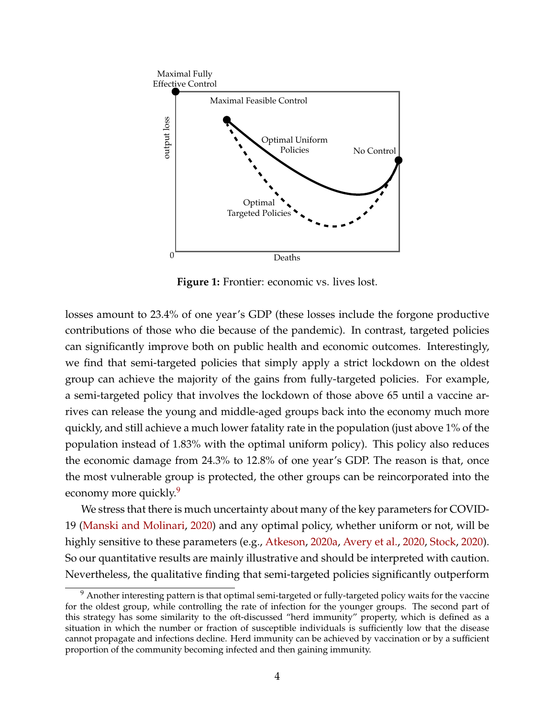<span id="page-4-1"></span>

**Figure 1:** Frontier: economic vs. lives lost.

the most vulnerable group is protected, the other groups can be reincorporated into the ov<br>et<br>m rives can release the young and middle-aged groups back into the economy much more contributions of those who die because of the pandemic). In contrast, targeted policies losses amount to 23.4% of one year's GDP (these losses include the forgone productive  $MDP$  Th the economic damage from 24.3% to 12.8% of one year's GDP. The reason is that, once can significantly improve both on public health and economic outcomes. Interestingly, we find that semi-targeted policies that simply apply a strict lockdown on the oldest group can achieve the majority of the gains from fully-targeted policies. For example, a semi-targeted policy that involves the lockdown of those above 65 until a vaccine arquickly, and still achieve a much lower fatality rate in the population (just above 1% of the population instead of 1.83% with the optimal uniform policy). This policy also reduces economy more quickly.<sup>[9](#page-4-0)</sup>

We stress that there is much uncertainty about many of the key parameters for COVID-19 [\(Manski and Molinari,](#page-38-6) [2020\)](#page-38-6) and any optimal policy, whether uniform or not, will be highly sensitive to these parameters (e.g., [Atkeson,](#page-35-2) [2020a,](#page-35-2) [Avery et al.,](#page-36-4) [2020,](#page-36-4) [Stock,](#page-38-3) [2020\)](#page-38-3). So our quantitative results are mainly illustrative and should be interpreted with caution. Nevertheless, the qualitative finding that semi-targeted policies significantly outperform

<span id="page-4-0"></span><sup>&</sup>lt;sup>9</sup> Another interesting pattern is that optimal semi-targeted or fully-targeted policy waits for the vaccine for the oldest group, while controlling the rate of infection for the younger groups. The second part of this strategy has some similarity to the oft-discussed "herd immunity" property, which is defined as a situation in which the number or fraction of susceptible individuals is sufficiently low that the disease cannot propagate and infections decline. Herd immunity can be achieved by vaccination or by a sufficient proportion of the community becoming infected and then gaining immunity.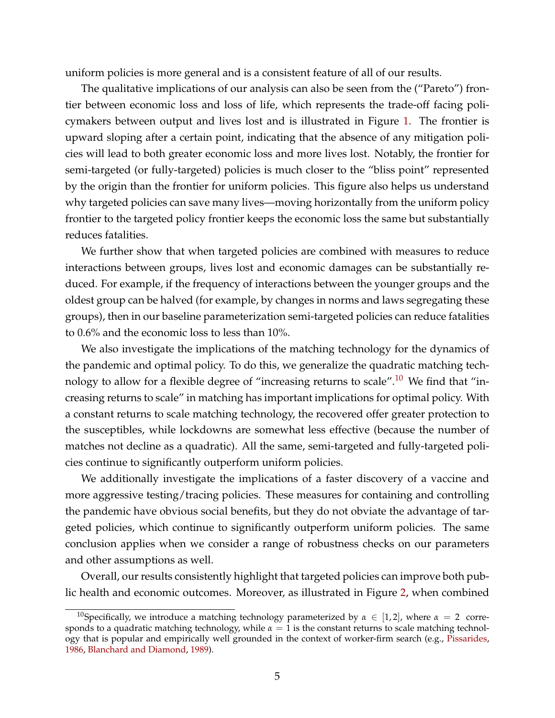uniform policies is more general and is a consistent feature of all of our results.

The qualitative implications of our analysis can also be seen from the ("Pareto") frontier between economic loss and loss of life, which represents the trade-off facing policymakers between output and lives lost and is illustrated in Figure [1.](#page-4-1) The frontier is upward sloping after a certain point, indicating that the absence of any mitigation policies will lead to both greater economic loss and more lives lost. Notably, the frontier for semi-targeted (or fully-targeted) policies is much closer to the "bliss point" represented by the origin than the frontier for uniform policies. This figure also helps us understand why targeted policies can save many lives—moving horizontally from the uniform policy frontier to the targeted policy frontier keeps the economic loss the same but substantially reduces fatalities.

We further show that when targeted policies are combined with measures to reduce interactions between groups, lives lost and economic damages can be substantially reduced. For example, if the frequency of interactions between the younger groups and the oldest group can be halved (for example, by changes in norms and laws segregating these groups), then in our baseline parameterization semi-targeted policies can reduce fatalities to 0.6% and the economic loss to less than 10%.

We also investigate the implications of the matching technology for the dynamics of the pandemic and optimal policy. To do this, we generalize the quadratic matching tech-nology to allow for a flexible degree of "increasing returns to scale".<sup>[10](#page-5-0)</sup> We find that "increasing returns to scale" in matching has important implications for optimal policy. With a constant returns to scale matching technology, the recovered offer greater protection to the susceptibles, while lockdowns are somewhat less effective (because the number of matches not decline as a quadratic). All the same, semi-targeted and fully-targeted policies continue to significantly outperform uniform policies.

We additionally investigate the implications of a faster discovery of a vaccine and more aggressive testing/tracing policies. These measures for containing and controlling the pandemic have obvious social benefits, but they do not obviate the advantage of targeted policies, which continue to significantly outperform uniform policies. The same conclusion applies when we consider a range of robustness checks on our parameters and other assumptions as well.

Overall, our results consistently highlight that targeted policies can improve both public health and economic outcomes. Moreover, as illustrated in Figure [2,](#page-6-0) when combined

<span id="page-5-0"></span><sup>&</sup>lt;sup>10</sup>Specifically, we introduce a matching technology parameterized by  $\alpha \in [1,2]$ , where  $\alpha = 2$  corresponds to a quadratic matching technology, while  $\alpha = 1$  is the constant returns to scale matching technology that is popular and empirically well grounded in the context of worker-firm search (e.g., [Pissarides,](#page-38-7) [1986,](#page-38-7) [Blanchard and Diamond,](#page-36-9) [1989\)](#page-36-9).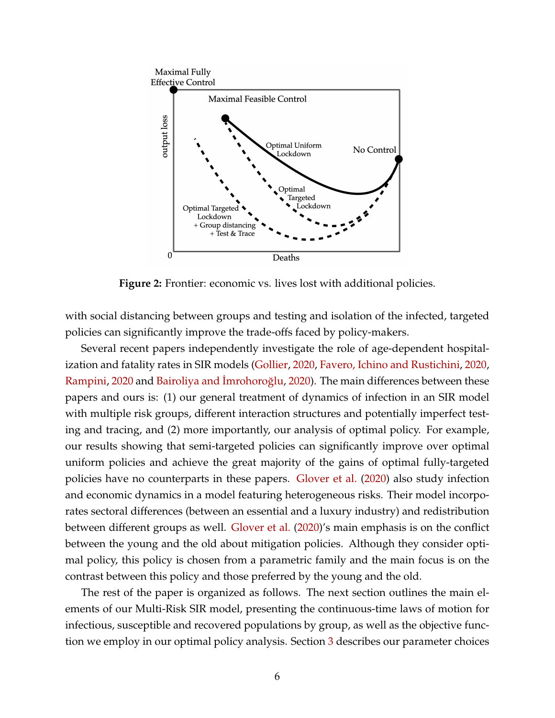<span id="page-6-0"></span>

**Figure 2:** Frontier: economic vs. lives lost with additional policies.

with social distancing between groups and testing and isolation of the infected, targeted policies can significantly improve the trade-offs faced by policy-makers.

Several recent papers independently investigate the role of age-dependent hospitalization and fatality rates in SIR models [\(Gollier,](#page-37-7) [2020,](#page-37-7) [Favero, Ichino and Rustichini,](#page-37-8) [2020,](#page-37-8) [Rampini,](#page-38-8) [2020](#page-38-8) and Bairoliya and İmrohoroğlu, [2020\)](#page-36-10). The main differences between these papers and ours is: (1) our general treatment of dynamics of infection in an SIR model with multiple risk groups, different interaction structures and potentially imperfect testing and tracing, and (2) more importantly, our analysis of optimal policy. For example, our results showing that semi-targeted policies can significantly improve over optimal uniform policies and achieve the great majority of the gains of optimal fully-targeted policies have no counterparts in these papers. [Glover et al.](#page-37-9) [\(2020\)](#page-37-9) also study infection and economic dynamics in a model featuring heterogeneous risks. Their model incorporates sectoral differences (between an essential and a luxury industry) and redistribution between different groups as well. [Glover et al.](#page-37-9) [\(2020\)](#page-37-9)'s main emphasis is on the conflict between the young and the old about mitigation policies. Although they consider optimal policy, this policy is chosen from a parametric family and the main focus is on the contrast between this policy and those preferred by the young and the old.

The rest of the paper is organized as follows. The next section outlines the main elements of our Multi-Risk SIR model, presenting the continuous-time laws of motion for infectious, susceptible and recovered populations by group, as well as the objective function we employ in our optimal policy analysis. Section [3](#page-15-0) describes our parameter choices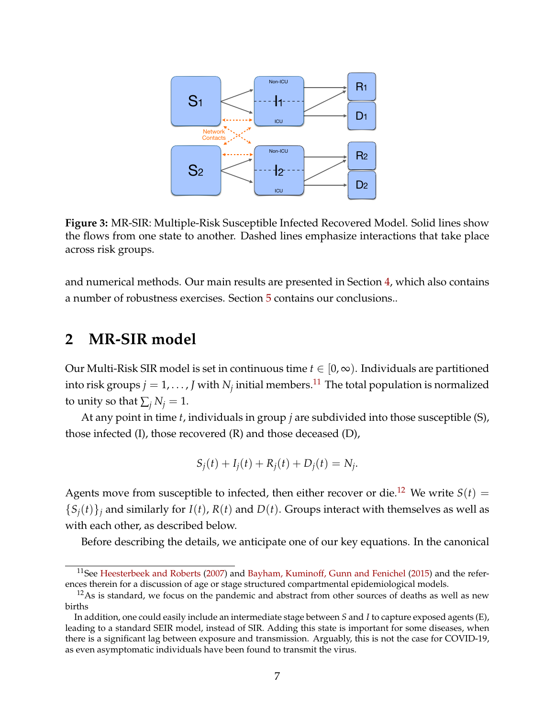

**Figure 3:** MR-SIR: Multiple-Risk Susceptible Infected Recovered Model. Solid lines show the flows from one state to another. Dashed lines emphasize interactions that take place across risk groups.

and numerical methods. Our main results are presented in Section [4,](#page-18-0) which also contains a number of robustness exercises. Section [5](#page-34-0) contains our conclusions..

## **2 MR-SIR model**

Our Multi-Risk SIR model is set in continuous time  $t \in [0,\infty)$ . Individuals are partitioned into risk groups  $j=1,\ldots$  ,  $J$  with  $N_j$  initial members. $^{11}$  $^{11}$  $^{11}$  The total population is normalized to unity so that  $\sum_i N_i = 1$ .

At any point in time *t*, individuals in group *j* are subdivided into those susceptible (S), those infected (I), those recovered (R) and those deceased (D),

$$
S_j(t) + I_j(t) + R_j(t) + D_j(t) = N_j.
$$

Agents move from susceptible to infected, then either recover or die.<sup>[12](#page-7-1)</sup> We write  $S(t)$  =  ${S_i(t)}_i$  and similarly for *I*(*t*), *R*(*t*) and *D*(*t*). Groups interact with themselves as well as with each other, as described below.

Before describing the details, we anticipate one of our key equations. In the canonical

<span id="page-7-0"></span><sup>&</sup>lt;sup>11</sup>See [Heesterbeek and Roberts](#page-37-10) [\(2007\)](#page-37-10) and [Bayham, Kuminoff, Gunn and Fenichel](#page-36-11) [\(2015\)](#page-36-11) and the references therein for a discussion of age or stage structured compartmental epidemiological models.

<span id="page-7-1"></span> $12\text{As}$  is standard, we focus on the pandemic and abstract from other sources of deaths as well as new births

In addition, one could easily include an intermediate stage between *S* and *I* to capture exposed agents (E), leading to a standard SEIR model, instead of SIR. Adding this state is important for some diseases, when there is a significant lag between exposure and transmission. Arguably, this is not the case for COVID-19, as even asymptomatic individuals have been found to transmit the virus.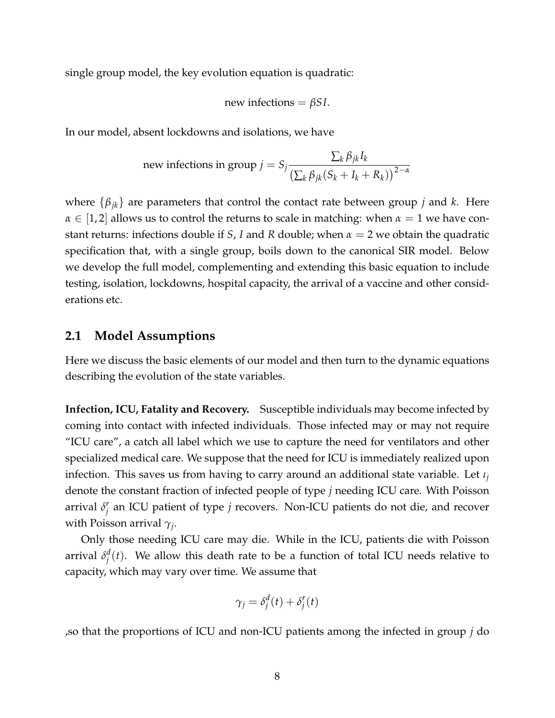single group model, the key evolution equation is quadratic:

new infections = 
$$
\beta
$$
SL.

In our model, absent lockdowns and isolations, we have

new infections in group 
$$
j = S_j \frac{\sum_k \beta_{jk} I_k}{\left(\sum_k \beta_{jk} (S_k + I_k + R_k)\right)^{2-\alpha}}
$$

where {*βjk*} are parameters that control the contact rate between group *j* and *k*. Here  $\alpha \in [1,2]$  allows us to control the returns to scale in matching: when  $\alpha = 1$  we have constant returns: infections double if *S*, *I* and *R* double; when *α* = 2 we obtain the quadratic specification that, with a single group, boils down to the canonical SIR model. Below we develop the full model, complementing and extending this basic equation to include testing, isolation, lockdowns, hospital capacity, the arrival of a vaccine and other considerations etc.

#### **2.1 Model Assumptions**

Here we discuss the basic elements of our model and then turn to the dynamic equations describing the evolution of the state variables.

**Infection, ICU, Fatality and Recovery.** Susceptible individuals may become infected by coming into contact with infected individuals. Those infected may or may not require "ICU care", a catch all label which we use to capture the need for ventilators and other specialized medical care. We suppose that the need for ICU is immediately realized upon infection. This saves us from having to carry around an additional state variable. Let *ι<sup>j</sup>* denote the constant fraction of infected people of type *j* needing ICU care. With Poisson arrival *δ r j* an ICU patient of type *j* recovers. Non-ICU patients do not die, and recover with Poisson arrival *γ<sup>j</sup>* .

Only those needing ICU care may die. While in the ICU, patients die with Poisson arrival *δ d*  $j^d(t)$ . We allow this death rate to be a function of total ICU needs relative to capacity, which may vary over time. We assume that

$$
\gamma_j = \delta_j^d(t) + \delta_j^r(t)
$$

,so that the proportions of ICU and non-ICU patients among the infected in group *j* do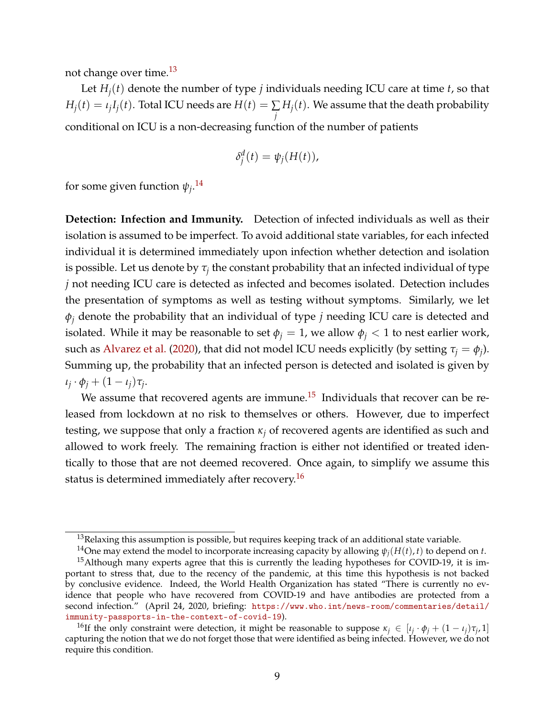not change over time.[13](#page-9-0)

Let  $H_i(t)$  denote the number of type *j* individuals needing ICU care at time *t*, so that  $H_j(t) = \iota_j I_j(t).$  Total ICU needs are  $H(t) = \sum_i$ *j*  $H_j(t)$ . We assume that the death probability conditional on ICU is a non-decreasing function of the number of patients

$$
\delta_j^d(t) = \psi_j(H(t)),
$$

for some given function  $\psi_j$ .<sup>[14](#page-9-1)</sup>

**Detection: Infection and Immunity.** Detection of infected individuals as well as their isolation is assumed to be imperfect. To avoid additional state variables, for each infected individual it is determined immediately upon infection whether detection and isolation is possible. Let us denote by  $\tau_j$  the constant probability that an infected individual of type *j* not needing ICU care is detected as infected and becomes isolated. Detection includes the presentation of symptoms as well as testing without symptoms. Similarly, we let *φ<sup>j</sup>* denote the probability that an individual of type *j* needing ICU care is detected and isolated. While it may be reasonable to set  $\phi$ <sup>*j*</sup> = 1, we allow  $\phi$ <sup>*j*</sup> < 1 to nest earlier work, such as [Alvarez et al.](#page-35-0) [\(2020\)](#page-35-0), that did not model ICU needs explicitly (by setting  $\tau_j = \phi_j$ ). Summing up, the probability that an infected person is detected and isolated is given by  $\iota_j \cdot \phi_j + (1 - \iota_j)\tau_j$ .

We assume that recovered agents are immune.<sup>[15](#page-9-2)</sup> Individuals that recover can be released from lockdown at no risk to themselves or others. However, due to imperfect testing, we suppose that only a fraction *κ<sup>j</sup>* of recovered agents are identified as such and allowed to work freely. The remaining fraction is either not identified or treated identically to those that are not deemed recovered. Once again, to simplify we assume this status is determined immediately after recovery.<sup>[16](#page-9-3)</sup>

<span id="page-9-0"></span> $13$ Relaxing this assumption is possible, but requires keeping track of an additional state variable.

<span id="page-9-2"></span><span id="page-9-1"></span><sup>&</sup>lt;sup>14</sup>One may extend the model to incorporate increasing capacity by allowing  $\psi_j(H(t), t)$  to depend on *t*.

 $15$ Although many experts agree that this is currently the leading hypotheses for COVID-19, it is important to stress that, due to the recency of the pandemic, at this time this hypothesis is not backed by conclusive evidence. Indeed, the World Health Organization has stated "There is currently no evidence that people who have recovered from COVID-19 and have antibodies are protected from a second infection." (April 24, 2020, briefing: [https://www.who.int/news-room/commentaries/detail/](https://www.who.int/news-room/commentaries/detail/immunity-passports-in-the-context-of-covid-19) [immunity-passports-in-the-context-of-covid-19](https://www.who.int/news-room/commentaries/detail/immunity-passports-in-the-context-of-covid-19)).

<span id="page-9-3"></span><sup>&</sup>lt;sup>16</sup>If the only constraint were detection, it might be reasonable to suppose  $\kappa_j \in [\iota_j \cdot \phi_j + (1 - \iota_j)\tau_j, 1]$ capturing the notion that we do not forget those that were identified as being infected. However, we do not require this condition.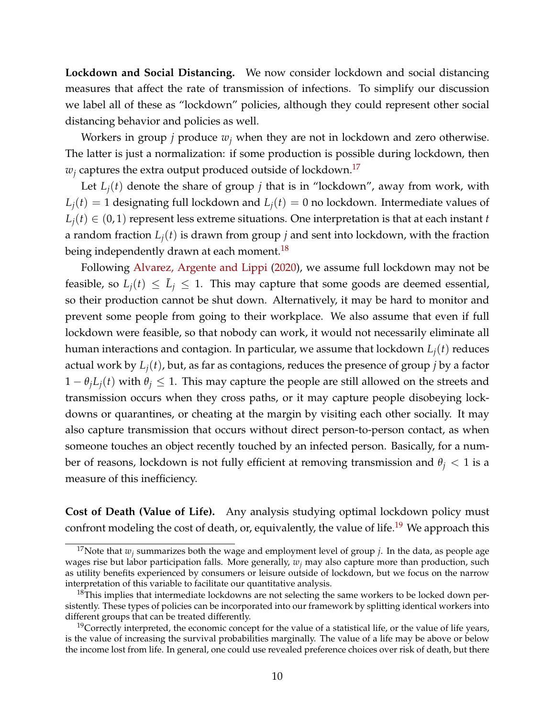**Lockdown and Social Distancing.** We now consider lockdown and social distancing measures that affect the rate of transmission of infections. To simplify our discussion we label all of these as "lockdown" policies, although they could represent other social distancing behavior and policies as well.

Workers in group *j* produce *w<sup>j</sup>* when they are not in lockdown and zero otherwise. The latter is just a normalization: if some production is possible during lockdown, then  $w_i$  captures the extra output produced outside of lockdown.<sup>[17](#page-10-0)</sup>

Let  $L_i(t)$  denote the share of group *j* that is in "lockdown", away from work, with  $L_i(t) = 1$  designating full lockdown and  $L_i(t) = 0$  no lockdown. Intermediate values of  $L_i(t) \in (0,1)$  represent less extreme situations. One interpretation is that at each instant *t* a random fraction  $L_i(t)$  is drawn from group *j* and sent into lockdown, with the fraction being independently drawn at each moment.<sup>[18](#page-10-1)</sup>

Following [Alvarez, Argente and Lippi](#page-35-0) [\(2020\)](#page-35-0), we assume full lockdown may not be feasible, so  $L_j(t) \leq \overline{L}_j \leq 1$ . This may capture that some goods are deemed essential, so their production cannot be shut down. Alternatively, it may be hard to monitor and prevent some people from going to their workplace. We also assume that even if full lockdown were feasible, so that nobody can work, it would not necessarily eliminate all human interactions and contagion. In particular, we assume that lockdown *Lj*(*t*) reduces actual work by  $L_i(t)$ , but, as far as contagions, reduces the presence of group *j* by a factor  $1 - \theta_i L_i(t)$  with  $\theta_i \leq 1$ . This may capture the people are still allowed on the streets and transmission occurs when they cross paths, or it may capture people disobeying lockdowns or quarantines, or cheating at the margin by visiting each other socially. It may also capture transmission that occurs without direct person-to-person contact, as when someone touches an object recently touched by an infected person. Basically, for a number of reasons, lockdown is not fully efficient at removing transmission and  $\theta_i$  < 1 is a measure of this inefficiency.

**Cost of Death (Value of Life).** Any analysis studying optimal lockdown policy must confront modeling the cost of death, or, equivalently, the value of life.<sup>[19](#page-10-2)</sup> We approach this

<span id="page-10-0"></span><sup>&</sup>lt;sup>17</sup>Note that  $w_i$  summarizes both the wage and employment level of group *j*. In the data, as people age wages rise but labor participation falls. More generally, *w<sup>j</sup>* may also capture more than production, such as utility benefits experienced by consumers or leisure outside of lockdown, but we focus on the narrow interpretation of this variable to facilitate our quantitative analysis.

<span id="page-10-1"></span> $18$ This implies that intermediate lockdowns are not selecting the same workers to be locked down persistently. These types of policies can be incorporated into our framework by splitting identical workers into different groups that can be treated differently.

<span id="page-10-2"></span> $19$ Correctly interpreted, the economic concept for the value of a statistical life, or the value of life years, is the value of increasing the survival probabilities marginally. The value of a life may be above or below the income lost from life. In general, one could use revealed preference choices over risk of death, but there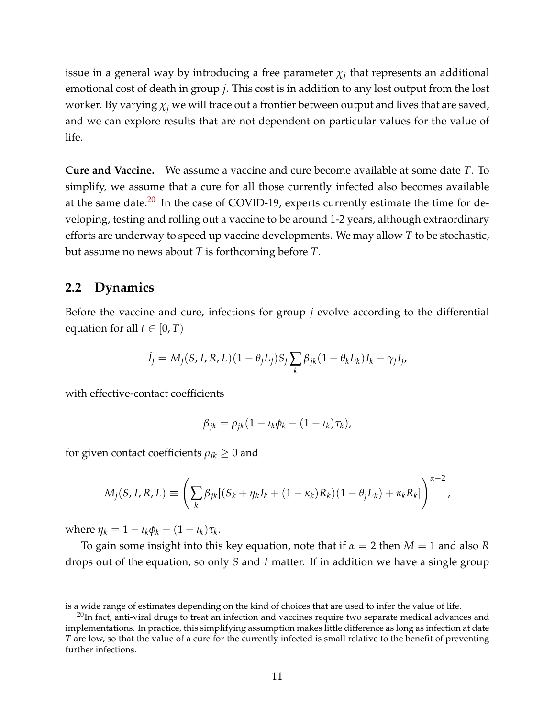issue in a general way by introducing a free parameter  $\chi_j$  that represents an additional emotional cost of death in group *j*. This cost is in addition to any lost output from the lost worker. By varying  $\chi_i$  we will trace out a frontier between output and lives that are saved, and we can explore results that are not dependent on particular values for the value of life.

**Cure and Vaccine.** We assume a vaccine and cure become available at some date *T*. To simplify, we assume that a cure for all those currently infected also becomes available at the same date. $20$  In the case of COVID-19, experts currently estimate the time for developing, testing and rolling out a vaccine to be around 1-2 years, although extraordinary efforts are underway to speed up vaccine developments. We may allow *T* to be stochastic, but assume no news about *T* is forthcoming before *T*.

#### **2.2 Dynamics**

Before the vaccine and cure, infections for group *j* evolve according to the differential equation for all  $t \in [0, T)$ 

$$
\dot{I}_j = M_j(S, I, R, L)(1 - \theta_j L_j)S_j \sum_k \beta_{jk} (1 - \theta_k L_k)I_k - \gamma_j I_j,
$$

with effective-contact coefficients

$$
\beta_{jk} = \rho_{jk} (1 - \iota_k \phi_k - (1 - \iota_k) \tau_k),
$$

for given contact coefficients  $\rho_{ik} \geq 0$  and

$$
M_j(S, I, R, L) \equiv \left(\sum_k \beta_{jk}[(S_k + \eta_k I_k + (1 - \kappa_k)R_k)(1 - \theta_j L_k) + \kappa_k R_k]\right)^{\alpha - 2},
$$

 $\mathbf{where} \ \eta_k = 1 - \iota_k \phi_k - (1 - \iota_k) \tau_k.$ 

To gain some insight into this key equation, note that if *α* = 2 then *M* = 1 and also *R* drops out of the equation, so only *S* and *I* matter. If in addition we have a single group

is a wide range of estimates depending on the kind of choices that are used to infer the value of life.

<span id="page-11-0"></span><sup>&</sup>lt;sup>20</sup>In fact, anti-viral drugs to treat an infection and vaccines require two separate medical advances and implementations. In practice, this simplifying assumption makes little difference as long as infection at date *T* are low, so that the value of a cure for the currently infected is small relative to the benefit of preventing further infections.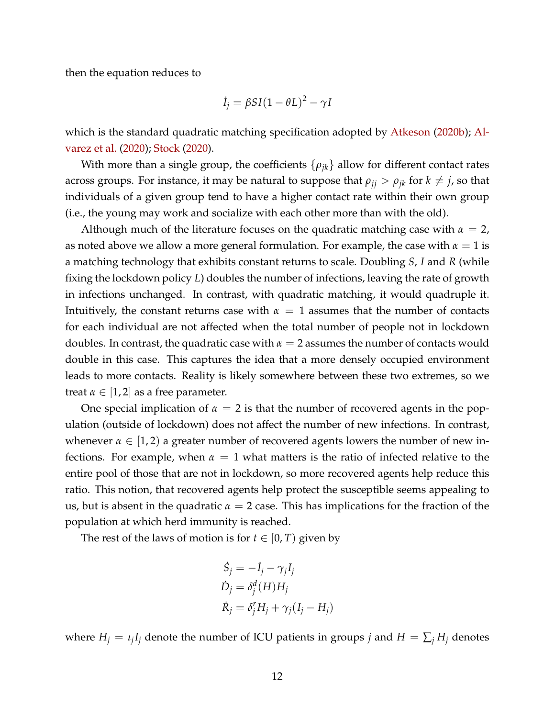then the equation reduces to

$$
\dot{I}_j = \beta SI(1 - \theta L)^2 - \gamma I
$$

which is the standard quadratic matching specification adopted by [Atkeson](#page-35-1) [\(2020b\)](#page-35-1); [Al](#page-35-0)[varez et al.](#page-35-0) [\(2020\)](#page-35-0); [Stock](#page-38-3) [\(2020\)](#page-38-3).

With more than a single group, the coefficients  $\{\rho_{ik}\}\$ allow for different contact rates across groups. For instance, it may be natural to suppose that  $\rho_{ij} > \rho_{jk}$  for  $k \neq j$ , so that individuals of a given group tend to have a higher contact rate within their own group (i.e., the young may work and socialize with each other more than with the old).

Although much of the literature focuses on the quadratic matching case with  $\alpha = 2$ , as noted above we allow a more general formulation. For example, the case with  $\alpha = 1$  is a matching technology that exhibits constant returns to scale. Doubling *S*, *I* and *R* (while fixing the lockdown policy *L*) doubles the number of infections, leaving the rate of growth in infections unchanged. In contrast, with quadratic matching, it would quadruple it. Intuitively, the constant returns case with  $\alpha = 1$  assumes that the number of contacts for each individual are not affected when the total number of people not in lockdown doubles. In contrast, the quadratic case with  $\alpha = 2$  assumes the number of contacts would double in this case. This captures the idea that a more densely occupied environment leads to more contacts. Reality is likely somewhere between these two extremes, so we treat  $\alpha \in [1,2]$  as a free parameter.

One special implication of  $\alpha = 2$  is that the number of recovered agents in the population (outside of lockdown) does not affect the number of new infections. In contrast, whenever  $\alpha \in [1,2)$  a greater number of recovered agents lowers the number of new infections. For example, when  $\alpha = 1$  what matters is the ratio of infected relative to the entire pool of those that are not in lockdown, so more recovered agents help reduce this ratio. This notion, that recovered agents help protect the susceptible seems appealing to us, but is absent in the quadratic  $\alpha = 2$  case. This has implications for the fraction of the population at which herd immunity is reached.

The rest of the laws of motion is for  $t \in [0, T)$  given by

$$
\dot{S}_j = -\dot{I}_j - \gamma_j I_j
$$
  
\n
$$
\dot{D}_j = \delta_j^d(H) H_j
$$
  
\n
$$
\dot{R}_j = \delta_j^r H_j + \gamma_j (I_j - H_j)
$$

where  $H_j = \iota_j I_j$  denote the number of ICU patients in groups *j* and  $H = \sum_j H_j$  denotes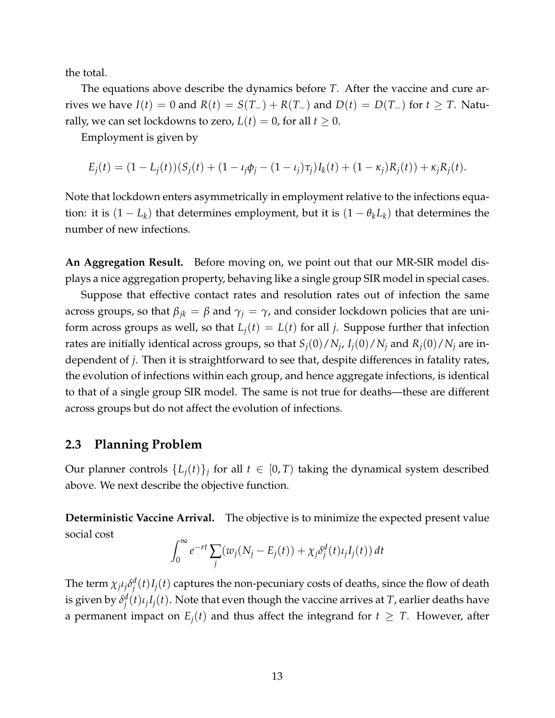the total.

The equations above describe the dynamics before *T*. After the vaccine and cure arrives we have  $I(t) = 0$  and  $R(t) = S(T_-) + R(T_-)$  and  $D(t) = D(T_-)$  for  $t \geq T$ . Naturally, we can set lockdowns to zero,  $L(t) = 0$ , for all  $t \geq 0$ .

Employment is given by

$$
E_j(t) = (1 - L_j(t))(S_j(t) + (1 - \iota_j \phi_j - (1 - \iota_j)\tau_j)I_k(t) + (1 - \kappa_j)R_j(t)) + \kappa_j R_j(t).
$$

Note that lockdown enters asymmetrically in employment relative to the infections equation: it is  $(1 - L_k)$  that determines employment, but it is  $(1 - \theta_k L_k)$  that determines the number of new infections.

**An Aggregation Result.** Before moving on, we point out that our MR-SIR model displays a nice aggregation property, behaving like a single group SIR model in special cases.

Suppose that effective contact rates and resolution rates out of infection the same across groups, so that  $\beta_{jk} = \beta$  and  $\gamma_j = \gamma$ , and consider lockdown policies that are uniform across groups as well, so that  $L_i(t) = L(t)$  for all *j*. Suppose further that infection rates are initially identical across groups, so that  $S_j(0)/N_j$ ,  $I_j(0)/N_j$  and  $R_j(0)/N_j$  are independent of *j*. Then it is straightforward to see that, despite differences in fatality rates, the evolution of infections within each group, and hence aggregate infections, is identical to that of a single group SIR model. The same is not true for deaths—these are different across groups but do not affect the evolution of infections.

#### **2.3 Planning Problem**

Our planner controls  $\{L_j(t)\}_j$  for all  $t \in [0, T)$  taking the dynamical system described above. We next describe the objective function.

**Deterministic Vaccine Arrival.** The objective is to minimize the expected present value social cost

$$
\int_0^\infty e^{-rt} \sum_j (w_j (N_j - E_j(t)) + \chi_j \delta_j^d(t) \iota_j I_j(t)) dt
$$

The term  $\chi_j\iota_j\delta_i^d$  $\int_j^d (t) I_j(t)$  captures the non-pecuniary costs of deaths, since the flow of death is given by *δ d*  $\int_{j}^{d}(t)\iota_{j}I_{j}(t).$  Note that even though the vaccine arrives at *T*, earlier deaths have a permanent impact on  $E_i(t)$  and thus affect the integrand for  $t \geq T$ . However, after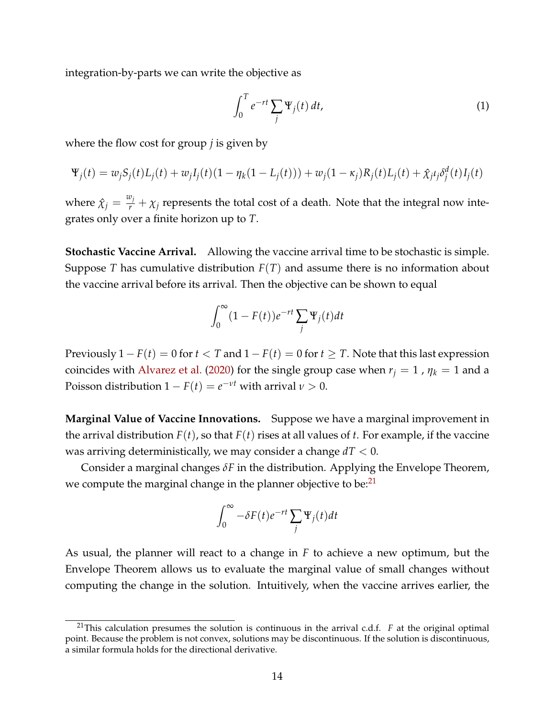integration-by-parts we can write the objective as

<span id="page-14-1"></span>
$$
\int_0^T e^{-rt} \sum_j \Psi_j(t) dt,
$$
\n(1)

where the flow cost for group *j* is given by

$$
\Psi_j(t) = w_j S_j(t) L_j(t) + w_j I_j(t) (1 - \eta_k (1 - L_j(t))) + w_j (1 - \kappa_j) R_j(t) L_j(t) + \hat{\chi}_j \delta_j^d(t) I_j(t)
$$

where  $\hat{\chi}_j = \frac{w_j}{r} + \chi_j$  represents the total cost of a death. Note that the integral now integrates only over a finite horizon up to *T*.

**Stochastic Vaccine Arrival.** Allowing the vaccine arrival time to be stochastic is simple. Suppose *T* has cumulative distribution *F*(*T*) and assume there is no information about the vaccine arrival before its arrival. Then the objective can be shown to equal

$$
\int_0^\infty (1 - F(t))e^{-rt} \sum_j \Psi_j(t) dt
$$

Previously  $1 - F(t) = 0$  for  $t < T$  and  $1 - F(t) = 0$  for  $t \geq T$ . Note that this last expression coincides with [Alvarez et al.](#page-35-0) [\(2020\)](#page-35-0) for the single group case when  $r_j = 1$ ,  $\eta_k = 1$  and a Poisson distribution  $1 - F(t) = e^{-\nu t}$  with arrival  $\nu > 0$ .

**Marginal Value of Vaccine Innovations.** Suppose we have a marginal improvement in the arrival distribution  $F(t)$ , so that  $F(t)$  rises at all values of *t*. For example, if the vaccine was arriving deterministically, we may consider a change *dT* < 0.

Consider a marginal changes *δF* in the distribution. Applying the Envelope Theorem, we compute the marginal change in the planner objective to be: $^{21}$  $^{21}$  $^{21}$ 

$$
\int_0^\infty -\delta F(t)e^{-rt} \sum_j \Psi_j(t) dt
$$

As usual, the planner will react to a change in *F* to achieve a new optimum, but the Envelope Theorem allows us to evaluate the marginal value of small changes without computing the change in the solution. Intuitively, when the vaccine arrives earlier, the

<span id="page-14-0"></span><sup>21</sup>This calculation presumes the solution is continuous in the arrival c.d.f. *F* at the original optimal point. Because the problem is not convex, solutions may be discontinuous. If the solution is discontinuous, a similar formula holds for the directional derivative.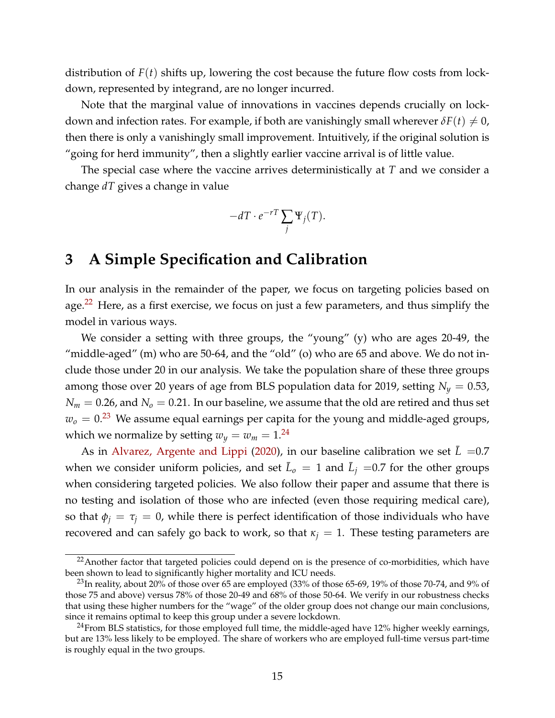distribution of *F*(*t*) shifts up, lowering the cost because the future flow costs from lockdown, represented by integrand, are no longer incurred.

Note that the marginal value of innovations in vaccines depends crucially on lockdown and infection rates. For example, if both are vanishingly small wherever  $\delta F(t) \neq 0$ , then there is only a vanishingly small improvement. Intuitively, if the original solution is "going for herd immunity", then a slightly earlier vaccine arrival is of little value.

The special case where the vaccine arrives deterministically at *T* and we consider a change *dT* gives a change in value

$$
-dT \cdot e^{-rT} \sum_j \Psi_j(T).
$$

## <span id="page-15-0"></span>**3 A Simple Specification and Calibration**

In our analysis in the remainder of the paper, we focus on targeting policies based on age.<sup>[22](#page-15-1)</sup> Here, as a first exercise, we focus on just a few parameters, and thus simplify the model in various ways.

We consider a setting with three groups, the "young" (y) who are ages 20-49, the "middle-aged" (m) who are 50-64, and the "old" (o) who are 65 and above. We do not include those under 20 in our analysis. We take the population share of these three groups among those over 20 years of age from BLS population data for 2019, setting  $N_y = 0.53$ ,  $N_m = 0.26$ , and  $N_o = 0.21$ . In our baseline, we assume that the old are retired and thus set  $w<sub>o</sub> = 0.<sup>23</sup>$  $w<sub>o</sub> = 0.<sup>23</sup>$  $w<sub>o</sub> = 0.<sup>23</sup>$  We assume equal earnings per capita for the young and middle-aged groups, which we normalize by setting  $w_y = w_m = 1.^{24}$  $w_y = w_m = 1.^{24}$  $w_y = w_m = 1.^{24}$ 

As in [Alvarez, Argente and Lippi](#page-35-0) [\(2020\)](#page-35-0), in our baseline calibration we set  $\overline{L}$  =0.7 when we consider uniform policies, and set  $\bar{L}_o = 1$  and  $\bar{L}_j = 0.7$  for the other groups when considering targeted policies. We also follow their paper and assume that there is no testing and isolation of those who are infected (even those requiring medical care), so that  $\phi_j = \tau_j = 0$ , while there is perfect identification of those individuals who have recovered and can safely go back to work, so that  $\kappa_j = 1$ . These testing parameters are

<span id="page-15-1"></span><sup>&</sup>lt;sup>22</sup> Another factor that targeted policies could depend on is the presence of co-morbidities, which have been shown to lead to significantly higher mortality and ICU needs.

<span id="page-15-2"></span> $^{23}$ In reality, about 20% of those over 65 are employed (33% of those 65-69, 19% of those 70-74, and 9% of those 75 and above) versus 78% of those 20-49 and 68% of those 50-64. We verify in our robustness checks that using these higher numbers for the "wage" of the older group does not change our main conclusions, since it remains optimal to keep this group under a severe lockdown.

<span id="page-15-3"></span> $24$ From BLS statistics, for those employed full time, the middle-aged have 12% higher weekly earnings, but are 13% less likely to be employed. The share of workers who are employed full-time versus part-time is roughly equal in the two groups.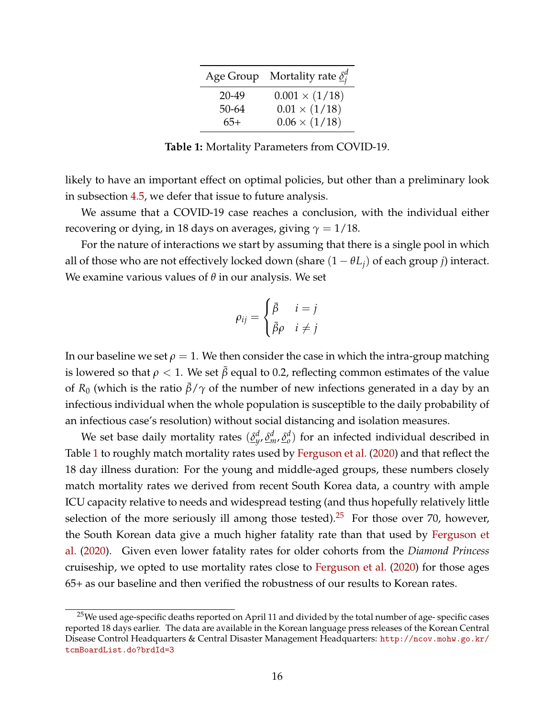|           | Age Group Mortality rate $\underline{\delta_i^d}$ |
|-----------|---------------------------------------------------|
| $20 - 49$ | $0.001 \times (1/18)$                             |
| 50-64     | $0.01 \times (1/18)$                              |
| $65+$     | $0.06 \times (1/18)$                              |

**Table 1:** Mortality Parameters from COVID-19.

<span id="page-16-0"></span>likely to have an important effect on optimal policies, but other than a preliminary look in subsection [4.5,](#page-29-0) we defer that issue to future analysis.

We assume that a COVID-19 case reaches a conclusion, with the individual either recovering or dying, in 18 days on averages, giving  $\gamma = 1/18$ .

For the nature of interactions we start by assuming that there is a single pool in which all of those who are not effectively locked down (share  $(1 - \theta L_i)$  of each group *j*) interact. We examine various values of *θ* in our analysis. We set

$$
\rho_{ij} = \begin{cases} \bar{\beta} & i = j \\ \bar{\beta}\rho & i \neq j \end{cases}
$$

In our baseline we set  $\rho = 1$ . We then consider the case in which the intra-group matching is lowered so that  $\rho < 1$ . We set  $\bar{\beta}$  equal to 0.2, reflecting common estimates of the value of  $R_0$  (which is the ratio  $\bar{\beta}/\gamma$  of the number of new infections generated in a day by an infectious individual when the whole population is susceptible to the daily probability of an infectious case's resolution) without social distancing and isolation measures.

We set base daily mortality rates  $(\underline{\delta}^d_y, \underline{\delta}^d_m, \underline{\delta}^d_o)$  for an infected individual described in Table [1](#page-16-0) to roughly match mortality rates used by [Ferguson et al.](#page-37-11) [\(2020\)](#page-37-11) and that reflect the 18 day illness duration: For the young and middle-aged groups, these numbers closely match mortality rates we derived from recent South Korea data, a country with ample ICU capacity relative to needs and widespread testing (and thus hopefully relatively little selection of the more seriously ill among those tested).<sup>[25](#page-16-1)</sup> For those over 70, however, the South Korean data give a much higher fatality rate than that used by [Ferguson et](#page-37-11) [al.](#page-37-11) [\(2020\)](#page-37-11). Given even lower fatality rates for older cohorts from the *Diamond Princess* cruiseship, we opted to use mortality rates close to [Ferguson et al.](#page-37-11) [\(2020\)](#page-37-11) for those ages 65+ as our baseline and then verified the robustness of our results to Korean rates.

<span id="page-16-1"></span><sup>&</sup>lt;sup>25</sup>We used age-specific deaths reported on April 11 and divided by the total number of age- specific cases reported 18 days earlier. The data are available in the Korean language press releases of the Korean Central Disease Control Headquarters & Central Disaster Management Headquarters: [http://ncov.mohw.go.kr/](http://ncov.mohw.go.kr/tcmBoardList.do?brdId=3) [tcmBoardList.do?brdId=3](http://ncov.mohw.go.kr/tcmBoardList.do?brdId=3)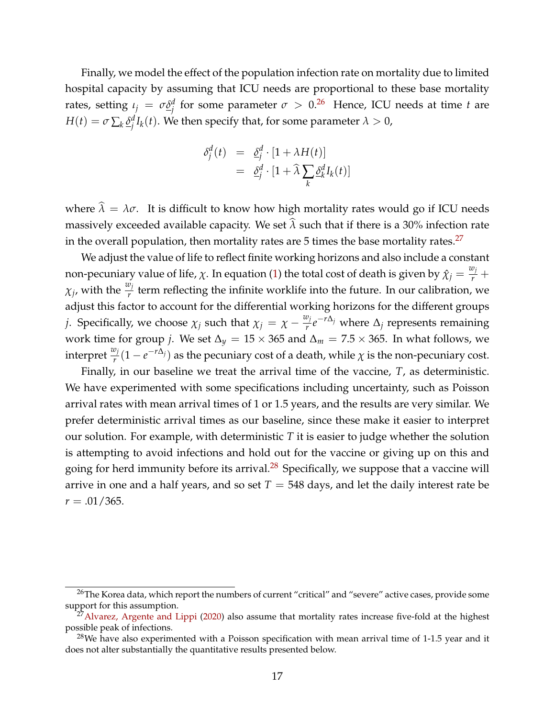Finally, we model the effect of the population infection rate on mortality due to limited hospital capacity by assuming that ICU needs are proportional to these base mortality rates, setting  $ι_j = σδ_j^d$  for some parameter  $σ > 0.2^6$  Hence, ICU needs at time *t* are  $H(t) = \sigma \sum_k \underline{\delta}^d_i$  $j^d_{\ j}I_k(t).$  We then specify that, for some parameter  $\lambda>0,$ 

$$
\delta_j^d(t) = \underline{\delta}_j^d \cdot [1 + \lambda H(t)]
$$
  
= 
$$
\underline{\delta}_j^d \cdot [1 + \widehat{\lambda} \sum_k \underline{\delta}_k^d I_k(t)]
$$

where  $\hat{\lambda} = \lambda \sigma$ . It is difficult to know how high mortality rates would go if ICU needs massively exceeded available capacity. We set  $\hat{\lambda}$  such that if there is a 30% infection rate in the overall population, then mortality rates are  $5$  times the base mortality rates.<sup>[27](#page-17-1)</sup>

We adjust the value of life to reflect finite working horizons and also include a constant non-pecuniary value of life,  $\chi$ . In equation [\(1\)](#page-14-1) the total cost of death is given by  $\hat{\chi}_j = \frac{w_j}{r} + \frac{1}{r}$  $\chi_j$ , with the  $\frac{w_j}{r}$  term reflecting the infinite worklife into the future. In our calibration, we adjust this factor to account for the differential working horizons for the different groups *j*. Specifically, we choose  $\chi_j$  such that  $\chi_j = \chi - \frac{w_j}{r}$ *r e* <sup>−</sup>*r*∆*<sup>j</sup>* where <sup>∆</sup>*<sup>j</sup>* represents remaining work time for group *j*. We set  $\Delta_y = 15 \times 365$  and  $\Delta_m = 7.5 \times 365$ . In what follows, we interpret  $\frac{w_j}{r}(1-e^{-r\Delta_j})$  as the pecuniary cost of a death, while  $\chi$  is the non-pecuniary cost.

Finally, in our baseline we treat the arrival time of the vaccine, *T*, as deterministic. We have experimented with some specifications including uncertainty, such as Poisson arrival rates with mean arrival times of 1 or 1.5 years, and the results are very similar. We prefer deterministic arrival times as our baseline, since these make it easier to interpret our solution. For example, with deterministic *T* it is easier to judge whether the solution is attempting to avoid infections and hold out for the vaccine or giving up on this and going for herd immunity before its arrival. $^{28}$  $^{28}$  $^{28}$  Specifically, we suppose that a vaccine will arrive in one and a half years, and so set  $T = 548$  days, and let the daily interest rate be  $r = .01/365$ .

<span id="page-17-0"></span><sup>&</sup>lt;sup>26</sup>The Korea data, which report the numbers of current "critical" and "severe" active cases, provide some support for this assumption.

<span id="page-17-1"></span> $27$ [Alvarez, Argente and Lippi](#page-35-0) [\(2020\)](#page-35-0) also assume that mortality rates increase five-fold at the highest possible peak of infections.

<span id="page-17-2"></span><sup>&</sup>lt;sup>28</sup>We have also experimented with a Poisson specification with mean arrival time of 1-1.5 year and it does not alter substantially the quantitative results presented below.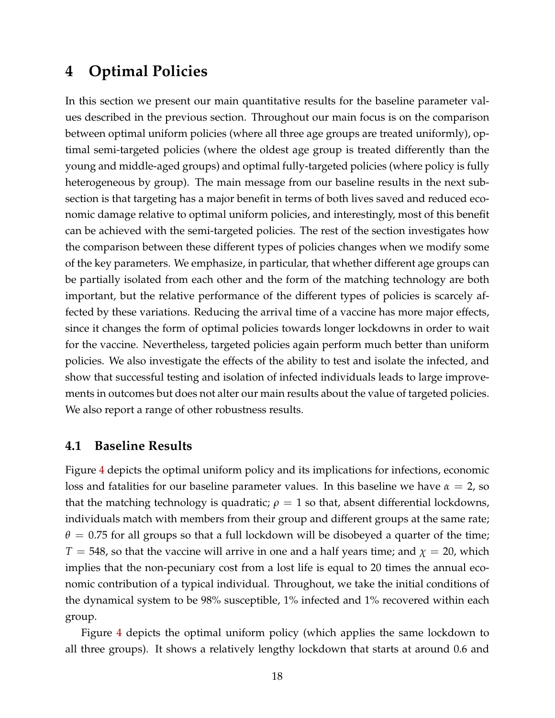## <span id="page-18-0"></span>**4 Optimal Policies**

In this section we present our main quantitative results for the baseline parameter values described in the previous section. Throughout our main focus is on the comparison between optimal uniform policies (where all three age groups are treated uniformly), optimal semi-targeted policies (where the oldest age group is treated differently than the young and middle-aged groups) and optimal fully-targeted policies (where policy is fully heterogeneous by group). The main message from our baseline results in the next subsection is that targeting has a major benefit in terms of both lives saved and reduced economic damage relative to optimal uniform policies, and interestingly, most of this benefit can be achieved with the semi-targeted policies. The rest of the section investigates how the comparison between these different types of policies changes when we modify some of the key parameters. We emphasize, in particular, that whether different age groups can be partially isolated from each other and the form of the matching technology are both important, but the relative performance of the different types of policies is scarcely affected by these variations. Reducing the arrival time of a vaccine has more major effects, since it changes the form of optimal policies towards longer lockdowns in order to wait for the vaccine. Nevertheless, targeted policies again perform much better than uniform policies. We also investigate the effects of the ability to test and isolate the infected, and show that successful testing and isolation of infected individuals leads to large improvements in outcomes but does not alter our main results about the value of targeted policies. We also report a range of other robustness results.

#### **4.1 Baseline Results**

Figure [4](#page-19-0) depicts the optimal uniform policy and its implications for infections, economic loss and fatalities for our baseline parameter values. In this baseline we have  $\alpha = 2$ , so that the matching technology is quadratic;  $\rho = 1$  so that, absent differential lockdowns, individuals match with members from their group and different groups at the same rate;  $\theta = 0.75$  for all groups so that a full lockdown will be disobeyed a quarter of the time;  $T = 548$ , so that the vaccine will arrive in one and a half years time; and  $\chi = 20$ , which implies that the non-pecuniary cost from a lost life is equal to 20 times the annual economic contribution of a typical individual. Throughout, we take the initial conditions of the dynamical system to be 98% susceptible, 1% infected and 1% recovered within each group.

Figure [4](#page-19-0) depicts the optimal uniform policy (which applies the same lockdown to all three groups). It shows a relatively lengthy lockdown that starts at around 0.6 and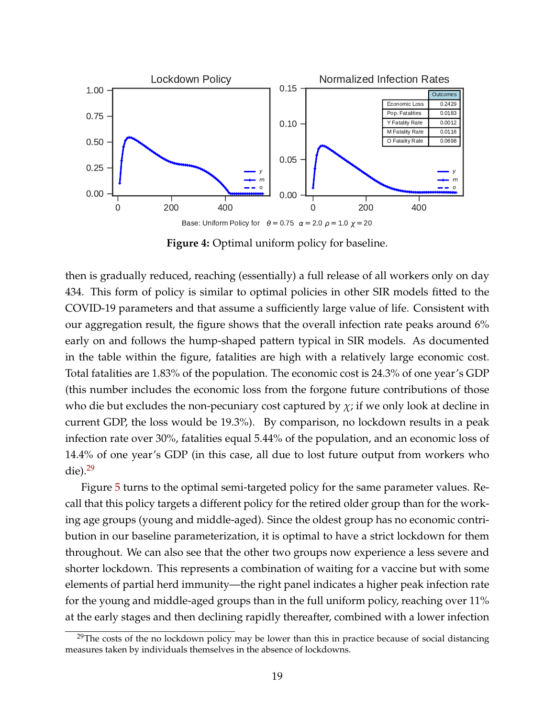<span id="page-19-0"></span>

**Figure 4:** Optimal uniform policy for baseline.

then is gradually reduced, reaching (essentially) a full release of all workers only on day 434. This form of policy is similar to optimal policies in other SIR models fitted to the COVID-19 parameters and that assume a sufficiently large value of life. Consistent with our aggregation result, the figure shows that the overall infection rate peaks around 6% early on and follows the hump-shaped pattern typical in SIR models. As documented in the table within the figure, fatalities are high with a relatively large economic cost. Total fatalities are 1.83% of the population. The economic cost is 24.3% of one year's GDP (this number includes the economic loss from the forgone future contributions of those who die but excludes the non-pecuniary cost captured by  $\chi$ ; if we only look at decline in current GDP, the loss would be 19.3%). By comparison, no lockdown results in a peak infection rate over 30%, fatalities equal 5.44% of the population, and an economic loss of 14.4% of one year's GDP (in this case, all due to lost future output from workers who die). $29$ 

Figure [5](#page-20-0) turns to the optimal semi-targeted policy for the same parameter values. Recall that this policy targets a different policy for the retired older group than for the working age groups (young and middle-aged). Since the oldest group has no economic contribution in our baseline parameterization, it is optimal to have a strict lockdown for them throughout. We can also see that the other two groups now experience a less severe and shorter lockdown. This represents a combination of waiting for a vaccine but with some elements of partial herd immunity—the right panel indicates a higher peak infection rate for the young and middle-aged groups than in the full uniform policy, reaching over 11% at the early stages and then declining rapidly thereafter, combined with a lower infection

<span id="page-19-1"></span><sup>&</sup>lt;sup>29</sup>The costs of the no lockdown policy may be lower than this in practice because of social distancing measures taken by individuals themselves in the absence of lockdowns.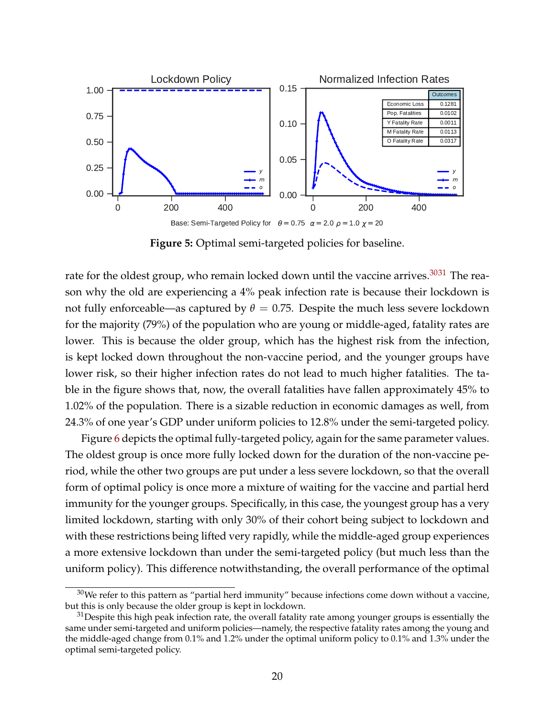<span id="page-20-0"></span>

**Figure 5:** Optimal semi-targeted policies for baseline.

rate for the oldest group, who remain locked down until the vaccine arrives. $3031$  $3031$  The reason why the old are experiencing a 4% peak infection rate is because their lockdown is not fully enforceable—as captured by  $\theta = 0.75$ . Despite the much less severe lockdown for the majority (79%) of the population who are young or middle-aged, fatality rates are lower. This is because the older group, which has the highest risk from the infection, is kept locked down throughout the non-vaccine period, and the younger groups have lower risk, so their higher infection rates do not lead to much higher fatalities. The table in the figure shows that, now, the overall fatalities have fallen approximately 45% to 1.02% of the population. There is a sizable reduction in economic damages as well, from 24.3% of one year's GDP under uniform policies to 12.8% under the semi-targeted policy.

Figure [6](#page-21-0) depicts the optimal fully-targeted policy, again for the same parameter values. The oldest group is once more fully locked down for the duration of the non-vaccine period, while the other two groups are put under a less severe lockdown, so that the overall form of optimal policy is once more a mixture of waiting for the vaccine and partial herd immunity for the younger groups. Specifically, in this case, the youngest group has a very limited lockdown, starting with only 30% of their cohort being subject to lockdown and with these restrictions being lifted very rapidly, while the middle-aged group experiences a more extensive lockdown than under the semi-targeted policy (but much less than the uniform policy). This difference notwithstanding, the overall performance of the optimal

<span id="page-20-1"></span> $30$ We refer to this pattern as "partial herd immunity" because infections come down without a vaccine, but this is only because the older group is kept in lockdown.

<span id="page-20-2"></span> $31$  Despite this high peak infection rate, the overall fatality rate among younger groups is essentially the same under semi-targeted and uniform policies—namely, the respective fatality rates among the young and the middle-aged change from 0.1% and 1.2% under the optimal uniform policy to 0.1% and 1.3% under the optimal semi-targeted policy.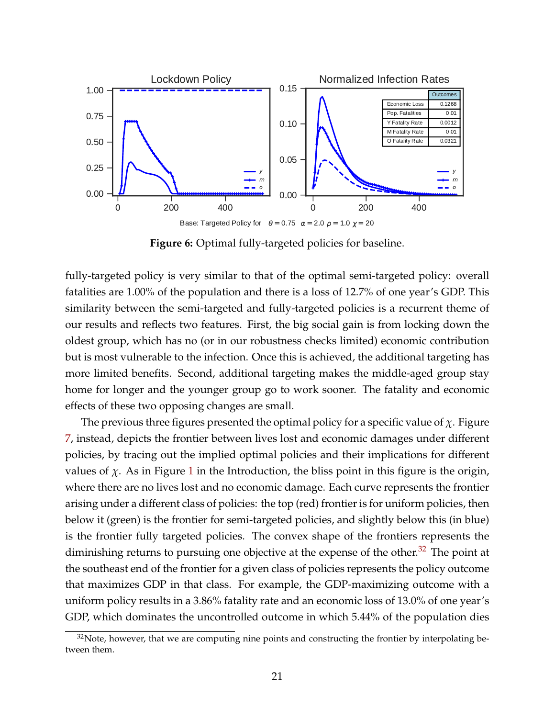<span id="page-21-0"></span>

**Figure 6:** Optimal fully-targeted policies for baseline.

fully-targeted policy is very similar to that of the optimal semi-targeted policy: overall fatalities are 1.00% of the population and there is a loss of 12.7% of one year's GDP. This similarity between the semi-targeted and fully-targeted policies is a recurrent theme of our results and reflects two features. First, the big social gain is from locking down the oldest group, which has no (or in our robustness checks limited) economic contribution but is most vulnerable to the infection. Once this is achieved, the additional targeting has more limited benefits. Second, additional targeting makes the middle-aged group stay home for longer and the younger group go to work sooner. The fatality and economic effects of these two opposing changes are small.

The previous three figures presented the optimal policy for a specific value of *χ*. Figure [7,](#page-22-0) instead, depicts the frontier between lives lost and economic damages under different policies, by tracing out the implied optimal policies and their implications for different values of  $\chi$ . As in Figure [1](#page-4-1) in the Introduction, the bliss point in this figure is the origin, where there are no lives lost and no economic damage. Each curve represents the frontier arising under a different class of policies: the top (red) frontier is for uniform policies, then below it (green) is the frontier for semi-targeted policies, and slightly below this (in blue) is the frontier fully targeted policies. The convex shape of the frontiers represents the diminishing returns to pursuing one objective at the expense of the other. $32$  The point at the southeast end of the frontier for a given class of policies represents the policy outcome that maximizes GDP in that class. For example, the GDP-maximizing outcome with a uniform policy results in a 3.86% fatality rate and an economic loss of 13.0% of one year's GDP, which dominates the uncontrolled outcome in which 5.44% of the population dies

<span id="page-21-1"></span> $32$ Note, however, that we are computing nine points and constructing the frontier by interpolating between them.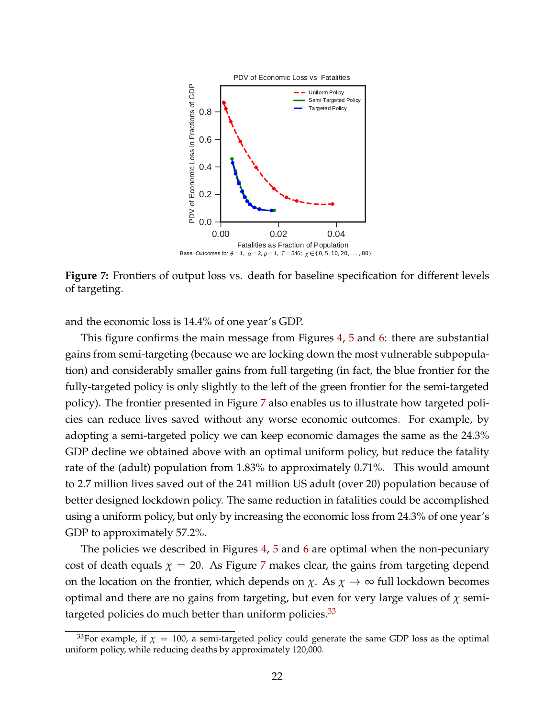<span id="page-22-0"></span>![](_page_22_Figure_0.jpeg)

**Figure 7:** Frontiers of output loss vs. death for baseline specification for different levels of targeting.

and the economic loss is 14.4% of one year's GDP.

This figure confirms the main message from Figures [4,](#page-19-0) [5](#page-20-0) and [6:](#page-21-0) there are substantial gains from semi-targeting (because we are locking down the most vulnerable subpopulation) and considerably smaller gains from full targeting (in fact, the blue frontier for the fully-targeted policy is only slightly to the left of the green frontier for the semi-targeted policy). The frontier presented in Figure [7](#page-22-0) also enables us to illustrate how targeted policies can reduce lives saved without any worse economic outcomes. For example, by adopting a semi-targeted policy we can keep economic damages the same as the 24.3% GDP decline we obtained above with an optimal uniform policy, but reduce the fatality rate of the (adult) population from 1.83% to approximately 0.71%. This would amount to 2.7 million lives saved out of the 241 million US adult (over 20) population because of better designed lockdown policy. The same reduction in fatalities could be accomplished using a uniform policy, but only by increasing the economic loss from 24.3% of one year's GDP to approximately 57.2%.

The policies we described in Figures [4,](#page-19-0) [5](#page-20-0) and [6](#page-21-0) are optimal when the non-pecuniary cost of death equals  $\chi = 20$ . As Figure [7](#page-22-0) makes clear, the gains from targeting depend on the location on the frontier, which depends on  $\chi$ . As  $\chi \to \infty$  full lockdown becomes optimal and there are no gains from targeting, but even for very large values of *χ* semitargeted policies do much better than uniform policies. $33$ 

<span id="page-22-1"></span><sup>&</sup>lt;sup>33</sup>For example, if  $\chi = 100$ , a semi-targeted policy could generate the same GDP loss as the optimal uniform policy, while reducing deaths by approximately 120,000.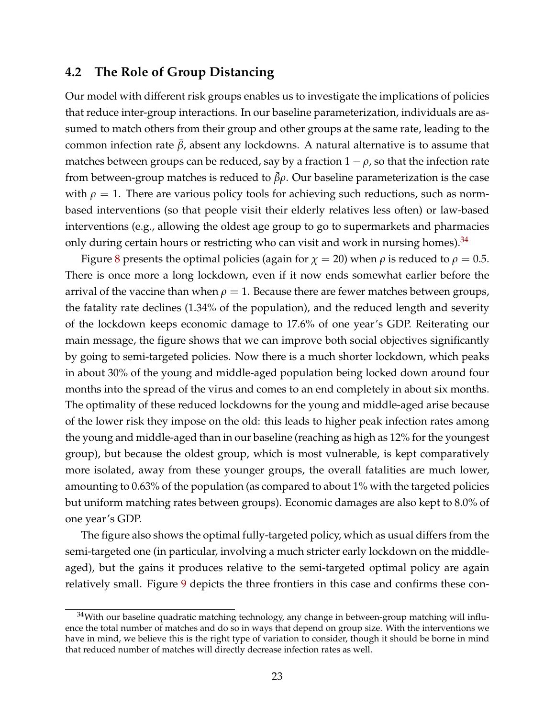## **4.2 The Role of Group Distancing**

Our model with different risk groups enables us to investigate the implications of policies that reduce inter-group interactions. In our baseline parameterization, individuals are assumed to match others from their group and other groups at the same rate, leading to the common infection rate  $\bar{\beta}$ , absent any lockdowns. A natural alternative is to assume that matches between groups can be reduced, say by a fraction  $1 - \rho$ , so that the infection rate from between-group matches is reduced to  $βρ$ . Our baseline parameterization is the case with  $\rho = 1$ . There are various policy tools for achieving such reductions, such as normbased interventions (so that people visit their elderly relatives less often) or law-based interventions (e.g., allowing the oldest age group to go to supermarkets and pharmacies only during certain hours or restricting who can visit and work in nursing homes).  $34$ 

Figure [8](#page-24-0) presents the optimal policies (again for  $\chi$  = 20) when  $\rho$  is reduced to  $\rho$  = 0.5. There is once more a long lockdown, even if it now ends somewhat earlier before the arrival of the vaccine than when  $\rho = 1$ . Because there are fewer matches between groups, the fatality rate declines (1.34% of the population), and the reduced length and severity of the lockdown keeps economic damage to 17.6% of one year's GDP. Reiterating our main message, the figure shows that we can improve both social objectives significantly by going to semi-targeted policies. Now there is a much shorter lockdown, which peaks in about 30% of the young and middle-aged population being locked down around four months into the spread of the virus and comes to an end completely in about six months. The optimality of these reduced lockdowns for the young and middle-aged arise because of the lower risk they impose on the old: this leads to higher peak infection rates among the young and middle-aged than in our baseline (reaching as high as 12% for the youngest group), but because the oldest group, which is most vulnerable, is kept comparatively more isolated, away from these younger groups, the overall fatalities are much lower, amounting to 0.63% of the population (as compared to about 1% with the targeted policies but uniform matching rates between groups). Economic damages are also kept to 8.0% of one year's GDP.

The figure also shows the optimal fully-targeted policy, which as usual differs from the semi-targeted one (in particular, involving a much stricter early lockdown on the middleaged), but the gains it produces relative to the semi-targeted optimal policy are again relatively small. Figure [9](#page-25-0) depicts the three frontiers in this case and confirms these con-

<span id="page-23-0"></span> $34$ With our baseline quadratic matching technology, any change in between-group matching will influence the total number of matches and do so in ways that depend on group size. With the interventions we have in mind, we believe this is the right type of variation to consider, though it should be borne in mind that reduced number of matches will directly decrease infection rates as well.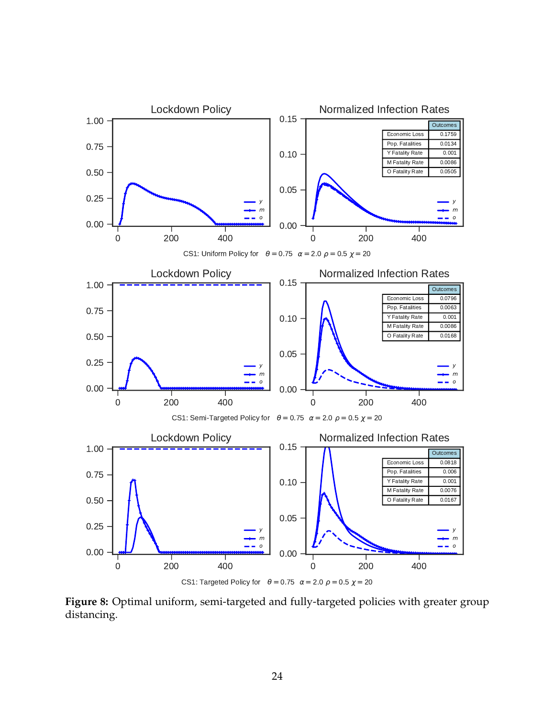<span id="page-24-0"></span>![](_page_24_Figure_0.jpeg)

**Figure 8:** Optimal uniform, semi-targeted and fully-targeted policies with greater group distancing.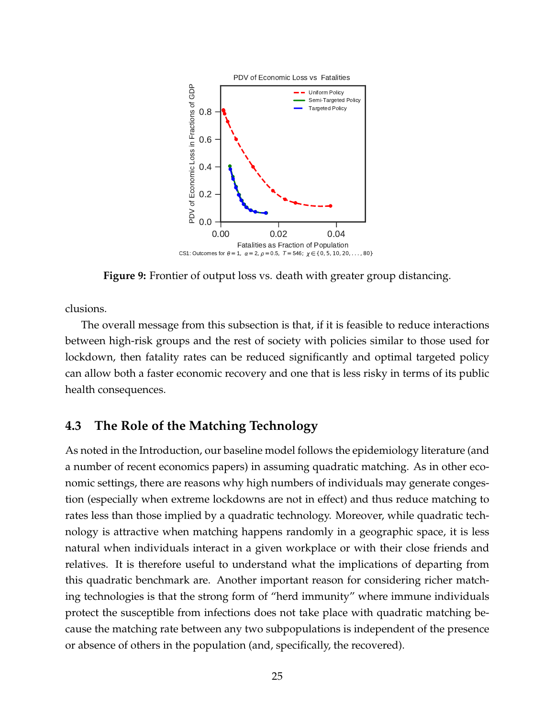<span id="page-25-0"></span>![](_page_25_Figure_0.jpeg)

**Figure 9:** Frontier of output loss vs. death with greater group distancing.

clusions.

The overall message from this subsection is that, if it is feasible to reduce interactions between high-risk groups and the rest of society with policies similar to those used for lockdown, then fatality rates can be reduced significantly and optimal targeted policy can allow both a faster economic recovery and one that is less risky in terms of its public health consequences.

## **4.3 The Role of the Matching Technology**

As noted in the Introduction, our baseline model follows the epidemiology literature (and a number of recent economics papers) in assuming quadratic matching. As in other economic settings, there are reasons why high numbers of individuals may generate congestion (especially when extreme lockdowns are not in effect) and thus reduce matching to rates less than those implied by a quadratic technology. Moreover, while quadratic technology is attractive when matching happens randomly in a geographic space, it is less natural when individuals interact in a given workplace or with their close friends and relatives. It is therefore useful to understand what the implications of departing from this quadratic benchmark are. Another important reason for considering richer matching technologies is that the strong form of "herd immunity" where immune individuals protect the susceptible from infections does not take place with quadratic matching because the matching rate between any two subpopulations is independent of the presence or absence of others in the population (and, specifically, the recovered).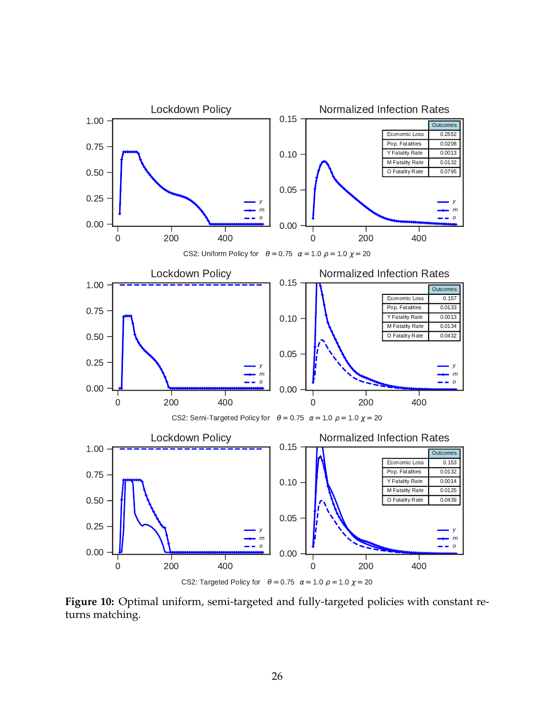<span id="page-26-0"></span>![](_page_26_Figure_0.jpeg)

**Figure 10:** Optimal uniform, semi-targeted and fully-targeted policies with constant returns matching.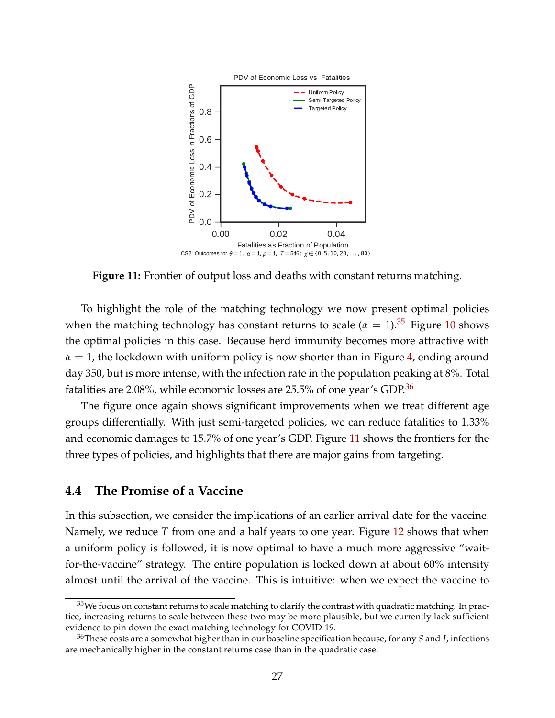<span id="page-27-2"></span>![](_page_27_Figure_0.jpeg)

**Figure 11:** Frontier of output loss and deaths with constant returns matching.

To highlight the role of the matching technology we now present optimal policies when the matching technology has constant returns to scale ( $\alpha = 1$ ).<sup>[35](#page-27-0)</sup> Figure [10](#page-26-0) shows the optimal policies in this case. Because herd immunity becomes more attractive with  $\alpha = 1$ , the lockdown with uniform policy is now shorter than in Figure [4,](#page-19-0) ending around day 350, but is more intense, with the infection rate in the population peaking at 8%. Total fatalities are 2.08%, while economic losses are 25.5% of one year's GDP.[36](#page-27-1)

The figure once again shows significant improvements when we treat different age groups differentially. With just semi-targeted policies, we can reduce fatalities to 1.33% and economic damages to 15.7% of one year's GDP. Figure [11](#page-27-2) shows the frontiers for the three types of policies, and highlights that there are major gains from targeting.

#### **4.4 The Promise of a Vaccine**

In this subsection, we consider the implications of an earlier arrival date for the vaccine. Namely, we reduce *T* from one and a half years to one year. Figure [12](#page-28-0) shows that when a uniform policy is followed, it is now optimal to have a much more aggressive "waitfor-the-vaccine" strategy. The entire population is locked down at about 60% intensity almost until the arrival of the vaccine. This is intuitive: when we expect the vaccine to

<span id="page-27-0"></span> $35$ We focus on constant returns to scale matching to clarify the contrast with quadratic matching. In practice, increasing returns to scale between these two may be more plausible, but we currently lack sufficient evidence to pin down the exact matching technology for COVID-19.

<span id="page-27-1"></span><sup>36</sup>These costs are a somewhat higher than in our baseline specification because, for any *S* and *I*, infections are mechanically higher in the constant returns case than in the quadratic case.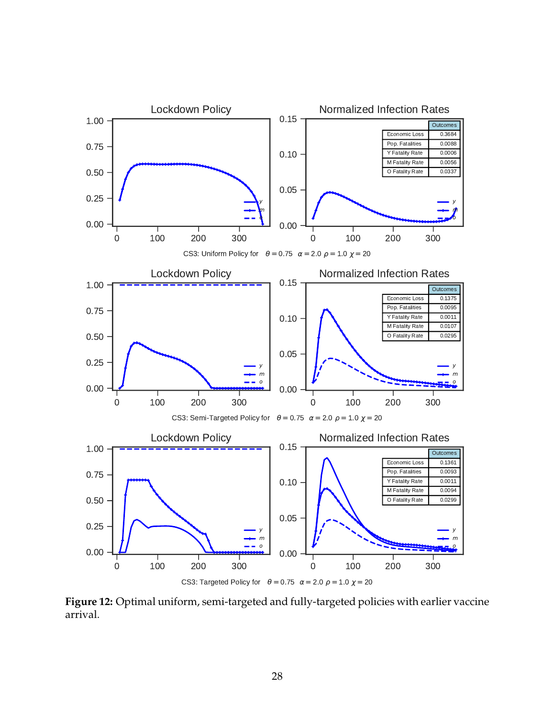<span id="page-28-0"></span>![](_page_28_Figure_0.jpeg)

**Figure 12:** Optimal uniform, semi-targeted and fully-targeted policies with earlier vaccine arrival.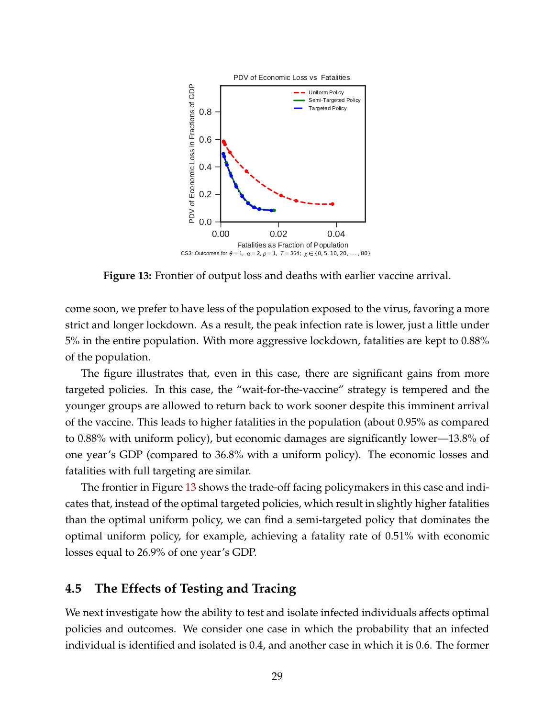<span id="page-29-1"></span>![](_page_29_Figure_0.jpeg)

**Figure 13:** Frontier of output loss and deaths with earlier vaccine arrival.

come soon, we prefer to have less of the population exposed to the virus, favoring a more strict and longer lockdown. As a result, the peak infection rate is lower, just a little under 5% in the entire population. With more aggressive lockdown, fatalities are kept to 0.88% of the population.

The figure illustrates that, even in this case, there are significant gains from more targeted policies. In this case, the "wait-for-the-vaccine" strategy is tempered and the younger groups are allowed to return back to work sooner despite this imminent arrival of the vaccine. This leads to higher fatalities in the population (about 0.95% as compared to 0.88% with uniform policy), but economic damages are significantly lower—13.8% of one year's GDP (compared to 36.8% with a uniform policy). The economic losses and fatalities with full targeting are similar.

The frontier in Figure [13](#page-29-1) shows the trade-off facing policymakers in this case and indicates that, instead of the optimal targeted policies, which result in slightly higher fatalities than the optimal uniform policy, we can find a semi-targeted policy that dominates the optimal uniform policy, for example, achieving a fatality rate of 0.51% with economic losses equal to 26.9% of one year's GDP.

## <span id="page-29-0"></span>**4.5 The Effects of Testing and Tracing**

We next investigate how the ability to test and isolate infected individuals affects optimal policies and outcomes. We consider one case in which the probability that an infected individual is identified and isolated is 0.4, and another case in which it is 0.6. The former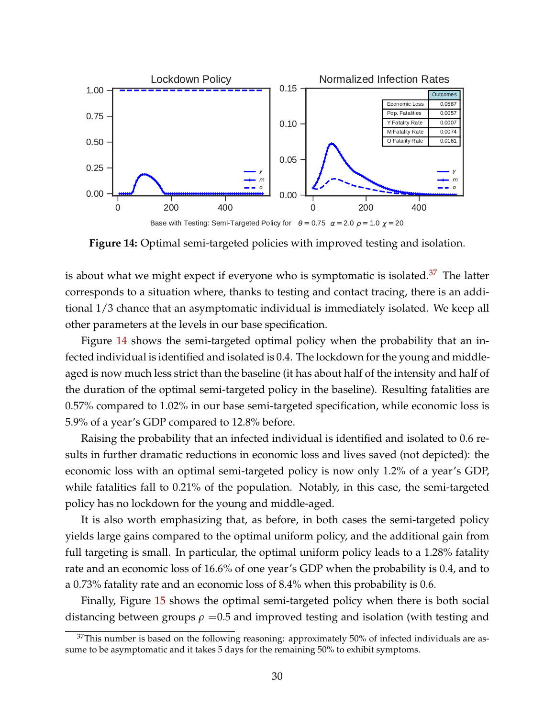<span id="page-30-1"></span>![](_page_30_Figure_0.jpeg)

**Figure 14:** Optimal semi-targeted policies with improved testing and isolation.

is about what we might expect if everyone who is symptomatic is isolated.<sup>[37](#page-30-0)</sup> The latter corresponds to a situation where, thanks to testing and contact tracing, there is an additional 1/3 chance that an asymptomatic individual is immediately isolated. We keep all other parameters at the levels in our base specification.

Figure [14](#page-30-1) shows the semi-targeted optimal policy when the probability that an infected individual is identified and isolated is 0.4. The lockdown for the young and middleaged is now much less strict than the baseline (it has about half of the intensity and half of the duration of the optimal semi-targeted policy in the baseline). Resulting fatalities are 0.57% compared to 1.02% in our base semi-targeted specification, while economic loss is 5.9% of a year's GDP compared to 12.8% before.

Raising the probability that an infected individual is identified and isolated to 0.6 results in further dramatic reductions in economic loss and lives saved (not depicted): the economic loss with an optimal semi-targeted policy is now only 1.2% of a year's GDP, while fatalities fall to 0.21% of the population. Notably, in this case, the semi-targeted policy has no lockdown for the young and middle-aged.

It is also worth emphasizing that, as before, in both cases the semi-targeted policy yields large gains compared to the optimal uniform policy, and the additional gain from full targeting is small. In particular, the optimal uniform policy leads to a 1.28% fatality rate and an economic loss of 16.6% of one year's GDP when the probability is 0.4, and to a 0.73% fatality rate and an economic loss of 8.4% when this probability is 0.6.

Finally, Figure [15](#page-31-0) shows the optimal semi-targeted policy when there is both social distancing between groups  $\rho = 0.5$  and improved testing and isolation (with testing and

<span id="page-30-0"></span> $37$ This number is based on the following reasoning: approximately 50% of infected individuals are assume to be asymptomatic and it takes 5 days for the remaining 50% to exhibit symptoms.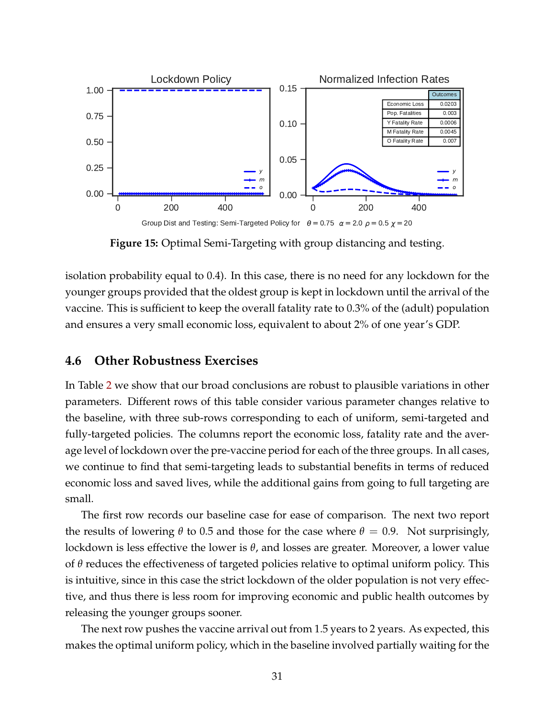<span id="page-31-0"></span>![](_page_31_Figure_0.jpeg)

**Figure 15:** Optimal Semi-Targeting with group distancing and testing.

isolation probability equal to 0.4). In this case, there is no need for any lockdown for the younger groups provided that the oldest group is kept in lockdown until the arrival of the vaccine. This is sufficient to keep the overall fatality rate to 0.3% of the (adult) population and ensures a very small economic loss, equivalent to about 2% of one year's GDP.

#### **4.6 Other Robustness Exercises**

In Table [2](#page-32-0) we show that our broad conclusions are robust to plausible variations in other parameters. Different rows of this table consider various parameter changes relative to the baseline, with three sub-rows corresponding to each of uniform, semi-targeted and fully-targeted policies. The columns report the economic loss, fatality rate and the average level of lockdown over the pre-vaccine period for each of the three groups. In all cases, we continue to find that semi-targeting leads to substantial benefits in terms of reduced economic loss and saved lives, while the additional gains from going to full targeting are small.

The first row records our baseline case for ease of comparison. The next two report the results of lowering  $θ$  to 0.5 and those for the case where  $θ = 0.9$ . Not surprisingly, lockdown is less effective the lower is *θ*, and losses are greater. Moreover, a lower value of *θ* reduces the effectiveness of targeted policies relative to optimal uniform policy. This is intuitive, since in this case the strict lockdown of the older population is not very effective, and thus there is less room for improving economic and public health outcomes by releasing the younger groups sooner.

The next row pushes the vaccine arrival out from 1.5 years to 2 years. As expected, this makes the optimal uniform policy, which in the baseline involved partially waiting for the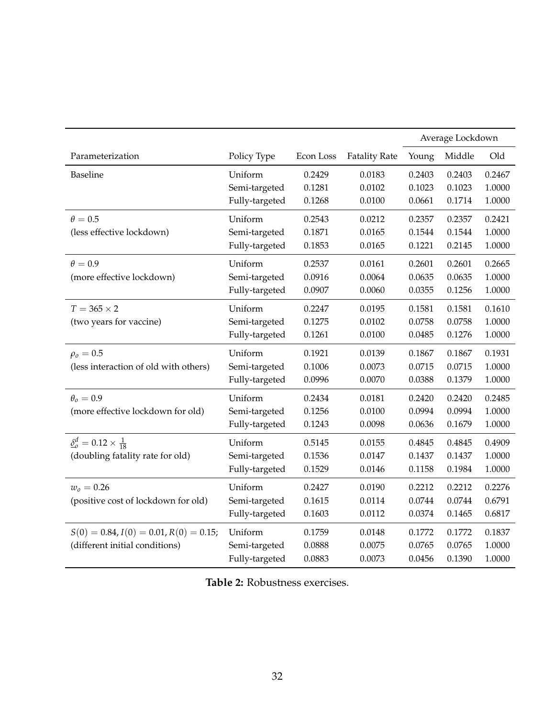<span id="page-32-0"></span>

|                                          |                |           |                      | Average Lockdown |        |        |
|------------------------------------------|----------------|-----------|----------------------|------------------|--------|--------|
| Parameterization                         | Policy Type    | Econ Loss | <b>Fatality Rate</b> | Young            | Middle | Old    |
| <b>Baseline</b>                          | Uniform        | 0.2429    | 0.0183               | 0.2403           | 0.2403 | 0.2467 |
|                                          | Semi-targeted  | 0.1281    | 0.0102               | 0.1023           | 0.1023 | 1.0000 |
|                                          | Fully-targeted | 0.1268    | 0.0100               | 0.0661           | 0.1714 | 1.0000 |
| $\theta = 0.5$                           | Uniform        | 0.2543    | 0.0212               | 0.2357           | 0.2357 | 0.2421 |
| (less effective lockdown)                | Semi-targeted  | 0.1871    | 0.0165               | 0.1544           | 0.1544 | 1.0000 |
|                                          | Fully-targeted | 0.1853    | 0.0165               | 0.1221           | 0.2145 | 1.0000 |
| $\theta = 0.9$                           | Uniform        | 0.2537    | 0.0161               | 0.2601           | 0.2601 | 0.2665 |
| (more effective lockdown)                | Semi-targeted  | 0.0916    | 0.0064               | 0.0635           | 0.0635 | 1.0000 |
|                                          | Fully-targeted | 0.0907    | 0.0060               | 0.0355           | 0.1256 | 1.0000 |
| $T = 365 \times 2$                       | Uniform        | 0.2247    | 0.0195               | 0.1581           | 0.1581 | 0.1610 |
| (two years for vaccine)                  | Semi-targeted  | 0.1275    | 0.0102               | 0.0758           | 0.0758 | 1.0000 |
|                                          | Fully-targeted | 0.1261    | 0.0100               | 0.0485           | 0.1276 | 1.0000 |
| $\rho_o = 0.5$                           | Uniform        | 0.1921    | 0.0139               | 0.1867           | 0.1867 | 0.1931 |
| (less interaction of old with others)    | Semi-targeted  | 0.1006    | 0.0073               | 0.0715           | 0.0715 | 1.0000 |
|                                          | Fully-targeted | 0.0996    | 0.0070               | 0.0388           | 0.1379 | 1.0000 |
| $\theta_o = 0.9$                         | Uniform        | 0.2434    | 0.0181               | 0.2420           | 0.2420 | 0.2485 |
| (more effective lockdown for old)        | Semi-targeted  | 0.1256    | 0.0100               | 0.0994           | 0.0994 | 1.0000 |
|                                          | Fully-targeted | 0.1243    | 0.0098               | 0.0636           | 0.1679 | 1.0000 |
| $\delta_0^d = 0.12 \times \frac{1}{18}$  | Uniform        | 0.5145    | 0.0155               | 0.4845           | 0.4845 | 0.4909 |
| (doubling fatality rate for old)         | Semi-targeted  | 0.1536    | 0.0147               | 0.1437           | 0.1437 | 1.0000 |
|                                          | Fully-targeted | 0.1529    | 0.0146               | 0.1158           | 0.1984 | 1.0000 |
| $w_0 = 0.26$                             | Uniform        | 0.2427    | 0.0190               | 0.2212           | 0.2212 | 0.2276 |
| (positive cost of lockdown for old)      | Semi-targeted  | 0.1615    | 0.0114               | 0.0744           | 0.0744 | 0.6791 |
|                                          | Fully-targeted | 0.1603    | 0.0112               | 0.0374           | 0.1465 | 0.6817 |
| $S(0) = 0.84, I(0) = 0.01, R(0) = 0.15;$ | Uniform        | 0.1759    | 0.0148               | 0.1772           | 0.1772 | 0.1837 |
| (different initial conditions)           | Semi-targeted  | 0.0888    | 0.0075               | 0.0765           | 0.0765 | 1.0000 |
|                                          | Fully-targeted | 0.0883    | 0.0073               | 0.0456           | 0.1390 | 1.0000 |

**Table 2:** Robustness exercises.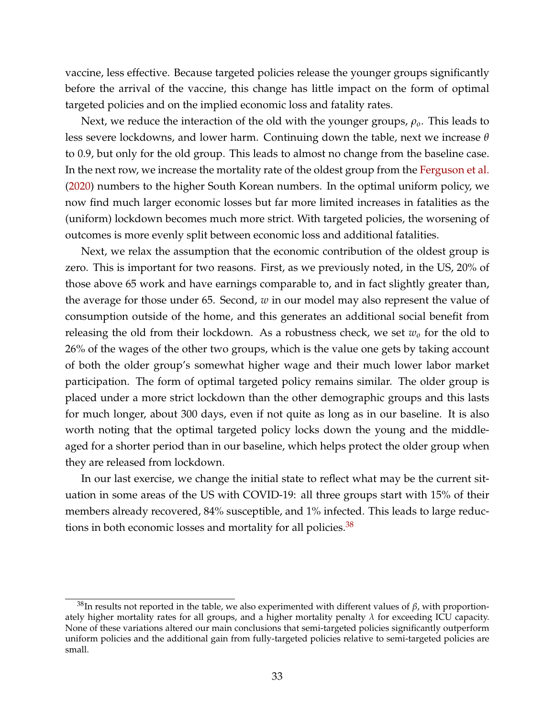vaccine, less effective. Because targeted policies release the younger groups significantly before the arrival of the vaccine, this change has little impact on the form of optimal targeted policies and on the implied economic loss and fatality rates.

Next, we reduce the interaction of the old with the younger groups, *ρo*. This leads to less severe lockdowns, and lower harm. Continuing down the table, next we increase *θ* to 0.9, but only for the old group. This leads to almost no change from the baseline case. In the next row, we increase the mortality rate of the oldest group from the [Ferguson et al.](#page-37-11) [\(2020\)](#page-37-11) numbers to the higher South Korean numbers. In the optimal uniform policy, we now find much larger economic losses but far more limited increases in fatalities as the (uniform) lockdown becomes much more strict. With targeted policies, the worsening of outcomes is more evenly split between economic loss and additional fatalities.

Next, we relax the assumption that the economic contribution of the oldest group is zero. This is important for two reasons. First, as we previously noted, in the US, 20% of those above 65 work and have earnings comparable to, and in fact slightly greater than, the average for those under 65. Second, *w* in our model may also represent the value of consumption outside of the home, and this generates an additional social benefit from releasing the old from their lockdown. As a robustness check, we set *w<sup>o</sup>* for the old to 26% of the wages of the other two groups, which is the value one gets by taking account of both the older group's somewhat higher wage and their much lower labor market participation. The form of optimal targeted policy remains similar. The older group is placed under a more strict lockdown than the other demographic groups and this lasts for much longer, about 300 days, even if not quite as long as in our baseline. It is also worth noting that the optimal targeted policy locks down the young and the middleaged for a shorter period than in our baseline, which helps protect the older group when they are released from lockdown.

In our last exercise, we change the initial state to reflect what may be the current situation in some areas of the US with COVID-19: all three groups start with 15% of their members already recovered, 84% susceptible, and 1% infected. This leads to large reductions in both economic losses and mortality for all policies. $38$ 

<span id="page-33-0"></span><sup>&</sup>lt;sup>38</sup>In results not reported in the table, we also experimented with different values of  $β$ , with proportionately higher mortality rates for all groups, and a higher mortality penalty *λ* for exceeding ICU capacity. None of these variations altered our main conclusions that semi-targeted policies significantly outperform uniform policies and the additional gain from fully-targeted policies relative to semi-targeted policies are small.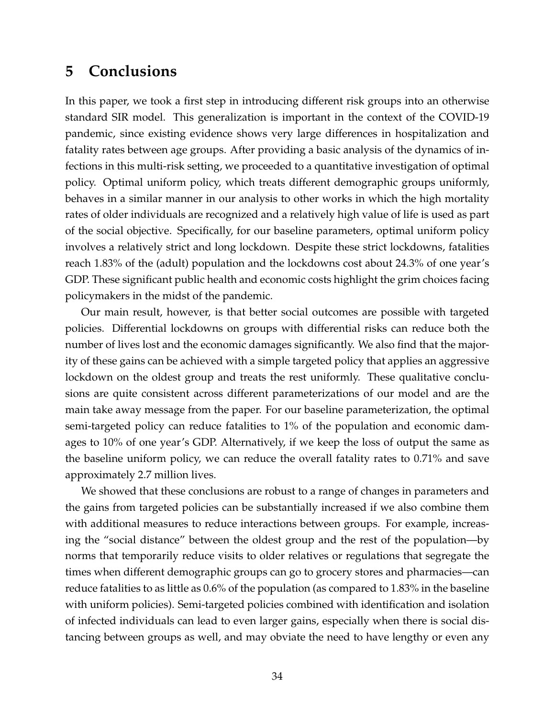## <span id="page-34-0"></span>**5 Conclusions**

In this paper, we took a first step in introducing different risk groups into an otherwise standard SIR model. This generalization is important in the context of the COVID-19 pandemic, since existing evidence shows very large differences in hospitalization and fatality rates between age groups. After providing a basic analysis of the dynamics of infections in this multi-risk setting, we proceeded to a quantitative investigation of optimal policy. Optimal uniform policy, which treats different demographic groups uniformly, behaves in a similar manner in our analysis to other works in which the high mortality rates of older individuals are recognized and a relatively high value of life is used as part of the social objective. Specifically, for our baseline parameters, optimal uniform policy involves a relatively strict and long lockdown. Despite these strict lockdowns, fatalities reach 1.83% of the (adult) population and the lockdowns cost about 24.3% of one year's GDP. These significant public health and economic costs highlight the grim choices facing policymakers in the midst of the pandemic.

Our main result, however, is that better social outcomes are possible with targeted policies. Differential lockdowns on groups with differential risks can reduce both the number of lives lost and the economic damages significantly. We also find that the majority of these gains can be achieved with a simple targeted policy that applies an aggressive lockdown on the oldest group and treats the rest uniformly. These qualitative conclusions are quite consistent across different parameterizations of our model and are the main take away message from the paper. For our baseline parameterization, the optimal semi-targeted policy can reduce fatalities to 1% of the population and economic damages to 10% of one year's GDP. Alternatively, if we keep the loss of output the same as the baseline uniform policy, we can reduce the overall fatality rates to 0.71% and save approximately 2.7 million lives.

We showed that these conclusions are robust to a range of changes in parameters and the gains from targeted policies can be substantially increased if we also combine them with additional measures to reduce interactions between groups. For example, increasing the "social distance" between the oldest group and the rest of the population—by norms that temporarily reduce visits to older relatives or regulations that segregate the times when different demographic groups can go to grocery stores and pharmacies—can reduce fatalities to as little as 0.6% of the population (as compared to 1.83% in the baseline with uniform policies). Semi-targeted policies combined with identification and isolation of infected individuals can lead to even larger gains, especially when there is social distancing between groups as well, and may obviate the need to have lengthy or even any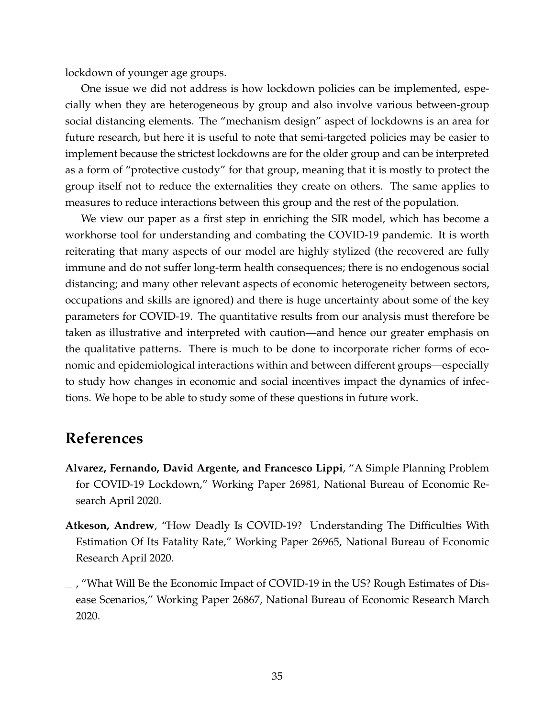lockdown of younger age groups.

One issue we did not address is how lockdown policies can be implemented, especially when they are heterogeneous by group and also involve various between-group social distancing elements. The "mechanism design" aspect of lockdowns is an area for future research, but here it is useful to note that semi-targeted policies may be easier to implement because the strictest lockdowns are for the older group and can be interpreted as a form of "protective custody" for that group, meaning that it is mostly to protect the group itself not to reduce the externalities they create on others. The same applies to measures to reduce interactions between this group and the rest of the population.

We view our paper as a first step in enriching the SIR model, which has become a workhorse tool for understanding and combating the COVID-19 pandemic. It is worth reiterating that many aspects of our model are highly stylized (the recovered are fully immune and do not suffer long-term health consequences; there is no endogenous social distancing; and many other relevant aspects of economic heterogeneity between sectors, occupations and skills are ignored) and there is huge uncertainty about some of the key parameters for COVID-19. The quantitative results from our analysis must therefore be taken as illustrative and interpreted with caution—and hence our greater emphasis on the qualitative patterns. There is much to be done to incorporate richer forms of economic and epidemiological interactions within and between different groups—especially to study how changes in economic and social incentives impact the dynamics of infections. We hope to be able to study some of these questions in future work.

## **References**

- <span id="page-35-0"></span>**Alvarez, Fernando, David Argente, and Francesco Lippi**, "A Simple Planning Problem for COVID-19 Lockdown," Working Paper 26981, National Bureau of Economic Research April 2020.
- <span id="page-35-2"></span>**Atkeson, Andrew**, "How Deadly Is COVID-19? Understanding The Difficulties With Estimation Of Its Fatality Rate," Working Paper 26965, National Bureau of Economic Research April 2020.
- <span id="page-35-1"></span> $\sim$ , "What Will Be the Economic Impact of COVID-19 in the US? Rough Estimates of Disease Scenarios," Working Paper 26867, National Bureau of Economic Research March 2020.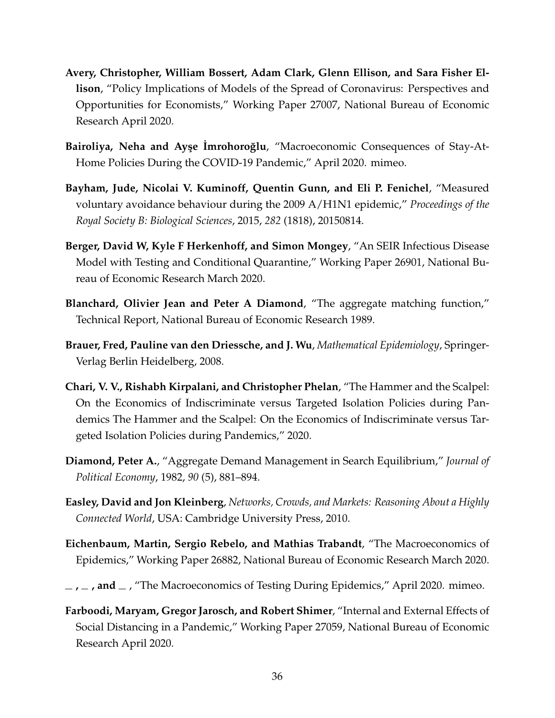- <span id="page-36-4"></span>**Avery, Christopher, William Bossert, Adam Clark, Glenn Ellison, and Sara Fisher Ellison**, "Policy Implications of Models of the Spread of Coronavirus: Perspectives and Opportunities for Economists," Working Paper 27007, National Bureau of Economic Research April 2020.
- <span id="page-36-10"></span>**Bairoliya, Neha and Ayşe Imrohoroğlu, "Macroeconomic Consequences of Stay-At-**Home Policies During the COVID-19 Pandemic," April 2020. mimeo.
- <span id="page-36-11"></span>**Bayham, Jude, Nicolai V. Kuminoff, Quentin Gunn, and Eli P. Fenichel**, "Measured voluntary avoidance behaviour during the 2009 A/H1N1 epidemic," *Proceedings of the Royal Society B: Biological Sciences*, 2015, *282* (1818), 20150814.
- <span id="page-36-5"></span>**Berger, David W, Kyle F Herkenhoff, and Simon Mongey**, "An SEIR Infectious Disease Model with Testing and Conditional Quarantine," Working Paper 26901, National Bureau of Economic Research March 2020.
- <span id="page-36-9"></span>**Blanchard, Olivier Jean and Peter A Diamond**, "The aggregate matching function," Technical Report, National Bureau of Economic Research 1989.
- <span id="page-36-3"></span>**Brauer, Fred, Pauline van den Driessche, and J. Wu**, *Mathematical Epidemiology*, Springer-Verlag Berlin Heidelberg, 2008.
- <span id="page-36-7"></span>**Chari, V. V., Rishabh Kirpalani, and Christopher Phelan**, "The Hammer and the Scalpel: On the Economics of Indiscriminate versus Targeted Isolation Policies during Pandemics The Hammer and the Scalpel: On the Economics of Indiscriminate versus Targeted Isolation Policies during Pandemics," 2020.
- <span id="page-36-8"></span>**Diamond, Peter A.**, "Aggregate Demand Management in Search Equilibrium," *Journal of Political Economy*, 1982, *90* (5), 881–894.
- <span id="page-36-2"></span>**Easley, David and Jon Kleinberg**, *Networks, Crowds, and Markets: Reasoning About a Highly Connected World*, USA: Cambridge University Press, 2010.
- <span id="page-36-0"></span>**Eichenbaum, Martin, Sergio Rebelo, and Mathias Trabandt**, "The Macroeconomics of Epidemics," Working Paper 26882, National Bureau of Economic Research March 2020.
- <span id="page-36-6"></span> $\mu$ ,  $\mu$ , and  $\mu$ , "The Macroeconomics of Testing During Epidemics," April 2020. mimeo.
- <span id="page-36-1"></span>**Farboodi, Maryam, Gregor Jarosch, and Robert Shimer**, "Internal and External Effects of Social Distancing in a Pandemic," Working Paper 27059, National Bureau of Economic Research April 2020.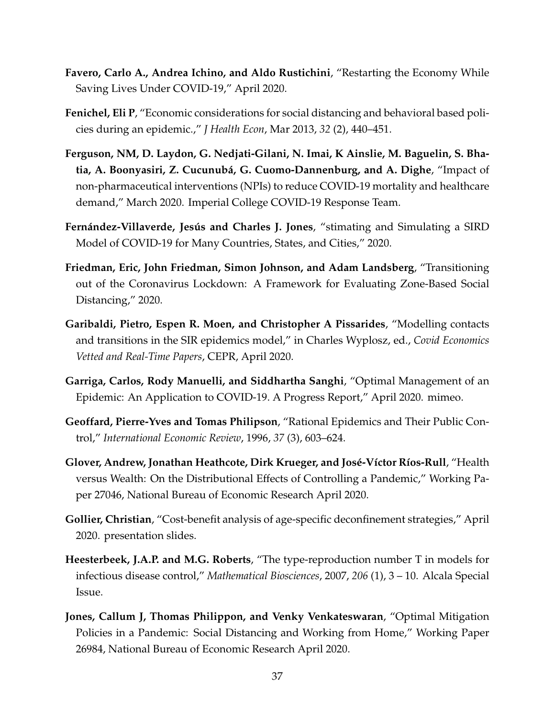- <span id="page-37-8"></span>**Favero, Carlo A., Andrea Ichino, and Aldo Rustichini**, "Restarting the Economy While Saving Lives Under COVID-19," April 2020.
- <span id="page-37-6"></span>**Fenichel, Eli P**, "Economic considerations for social distancing and behavioral based policies during an epidemic.," *J Health Econ*, Mar 2013, *32* (2), 440–451.
- <span id="page-37-11"></span>**Ferguson, NM, D. Laydon, G. Nedjati-Gilani, N. Imai, K Ainslie, M. Baguelin, S. Bhatia, A. Boonyasiri, Z. Cucunubá, G. Cuomo-Dannenburg, and A. Dighe**, "Impact of non-pharmaceutical interventions (NPIs) to reduce COVID-19 mortality and healthcare demand," March 2020. Imperial College COVID-19 Response Team.
- <span id="page-37-2"></span>**Fernández-Villaverde, Jesús and Charles J. Jones**, "stimating and Simulating a SIRD Model of COVID-19 for Many Countries, States, and Cities," 2020.
- <span id="page-37-3"></span>**Friedman, Eric, John Friedman, Simon Johnson, and Adam Landsberg**, "Transitioning out of the Coronavirus Lockdown: A Framework for Evaluating Zone-Based Social Distancing," 2020.
- <span id="page-37-4"></span>**Garibaldi, Pietro, Espen R. Moen, and Christopher A Pissarides**, "Modelling contacts and transitions in the SIR epidemics model," in Charles Wyplosz, ed., *Covid Economics Vetted and Real-Time Papers*, CEPR, April 2020.
- <span id="page-37-1"></span>**Garriga, Carlos, Rody Manuelli, and Siddhartha Sanghi**, "Optimal Management of an Epidemic: An Application to COVID-19. A Progress Report," April 2020. mimeo.
- <span id="page-37-5"></span>**Geoffard, Pierre-Yves and Tomas Philipson**, "Rational Epidemics and Their Public Control," *International Economic Review*, 1996, *37* (3), 603–624.
- <span id="page-37-9"></span>**Glover, Andrew, Jonathan Heathcote, Dirk Krueger, and José-Víctor Ríos-Rull**, "Health versus Wealth: On the Distributional Effects of Controlling a Pandemic," Working Paper 27046, National Bureau of Economic Research April 2020.
- <span id="page-37-7"></span>**Gollier, Christian**, "Cost-benefit analysis of age-specific deconfinement strategies," April 2020. presentation slides.
- <span id="page-37-10"></span>**Heesterbeek, J.A.P. and M.G. Roberts**, "The type-reproduction number T in models for infectious disease control," *Mathematical Biosciences*, 2007, *206* (1), 3 – 10. Alcala Special Issue.
- <span id="page-37-0"></span>**Jones, Callum J, Thomas Philippon, and Venky Venkateswaran**, "Optimal Mitigation Policies in a Pandemic: Social Distancing and Working from Home," Working Paper 26984, National Bureau of Economic Research April 2020.